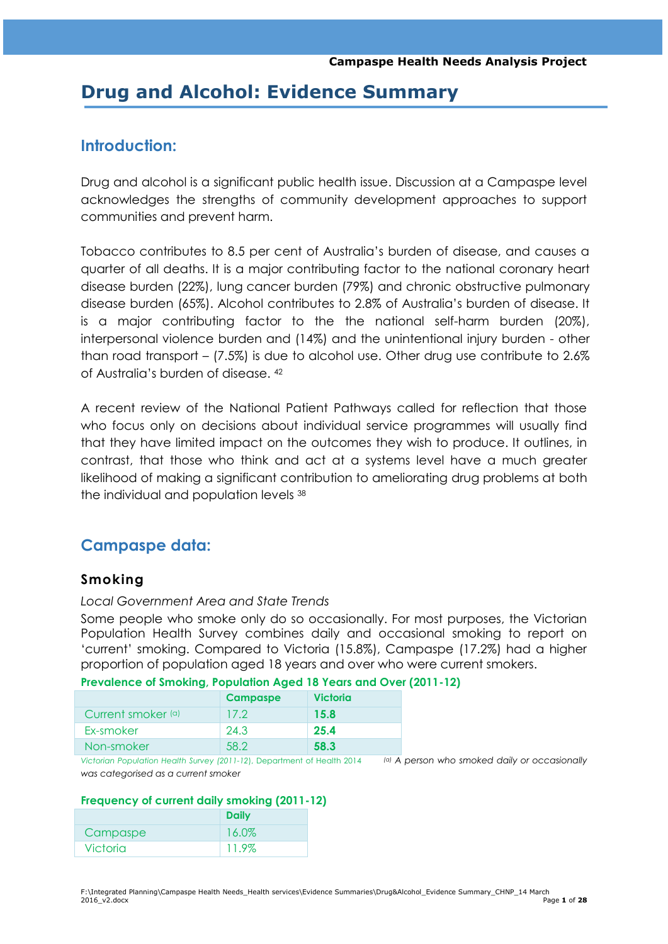# **Drug and Alcohol: Evidence Summary**

# **Introduction:**

Drug and alcohol is a significant public health issue. Discussion at a Campaspe level acknowledges the strengths of community development approaches to support communities and prevent harm.

Tobacco contributes to 8.5 per cent of Australia's burden of disease, and causes a quarter of all deaths. It is a major contributing factor to the national coronary heart disease burden (22%), lung cancer burden (79%) and chronic obstructive pulmonary disease burden (65%). Alcohol contributes to 2.8% of Australia's burden of disease. It is a major contributing factor to the the national self-harm burden (20%), interpersonal violence burden and (14%) and the unintentional injury burden - other than road transport – (7.5%) is due to alcohol use. Other drug use contribute to 2.6% of Australia's burden of disease. <sup>42</sup>

A recent review of the National Patient Pathways called for reflection that those who focus only on decisions about individual service programmes will usually find that they have limited impact on the outcomes they wish to produce. It outlines, in contrast, that those who think and act at a systems level have a much greater likelihood of making a significant contribution to ameliorating drug problems at both the individual and population levels <sup>38</sup>

# **Campaspe data:**

# **Smoking**

#### *Local Government Area and State Trends*

Some people who smoke only do so occasionally. For most purposes, the Victorian Population Health Survey combines daily and occasional smoking to report on ‗current' smoking. Compared to Victoria (15.8%), Campaspe (17.2%) had a higher proportion of population aged 18 years and over who were current smokers.

|                    | <b>Campaspe</b> | <b>Victoria</b> |
|--------------------|-----------------|-----------------|
| Current smoker (a) | 17.2            | 15.8            |
| Ex-smoker          | 24.3            | 25.4            |
| Non-smoker         | 58.2            | 58.3            |

**Prevalence of Smoking, Population Aged 18 Years and Over (2011-12)**

*Victorian Population Health Survey (2011-12*), Department of Health 2014 *(a) A person who smoked daily or occasionally was categorised as a current smoker*

#### **Frequency of current daily smoking (2011-12)**

|                 | <b>Daily</b> |
|-----------------|--------------|
| Campaspe        | 16.0%        |
| <b>Victoria</b> | 11.9%        |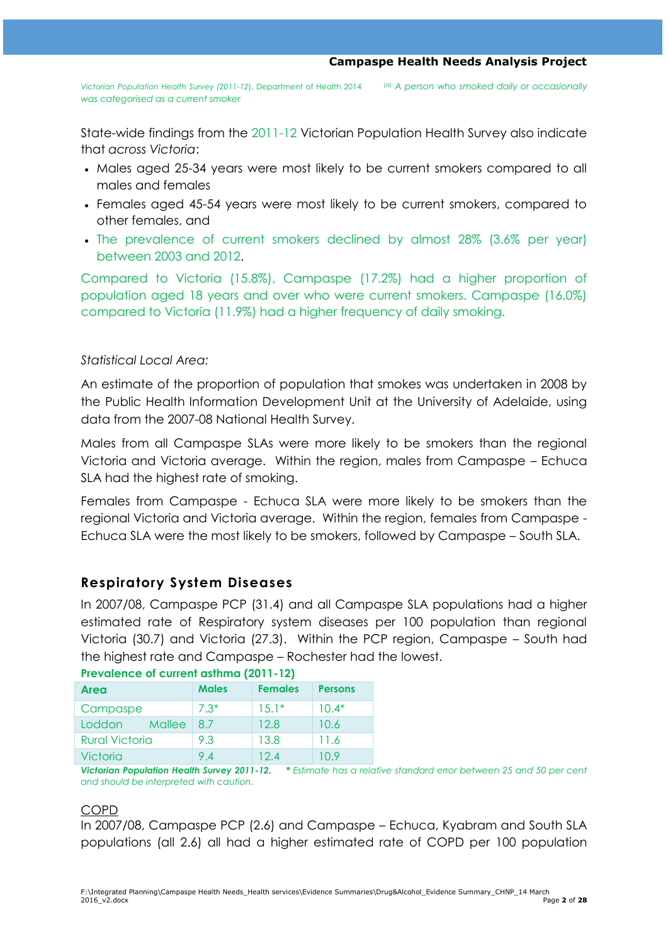*Victorian Population Health Survey (2011-12*), Department of Health 2014 *(a) A person who smoked daily or occasionally was categorised as a current smoker*

State-wide findings from the 2011-12 Victorian Population Health Survey also indicate that *across Victoria*:

- Males aged 25-34 years were most likely to be current smokers compared to all males and females
- Females aged 45-54 years were most likely to be current smokers, compared to other females, and
- The prevalence of current smokers declined by almost 28% (3.6% per year) between 2003 and 2012.

Compared to Victoria (15.8%), Campaspe (17.2%) had a higher proportion of population aged 18 years and over who were current smokers. Campaspe (16.0%) compared to Victoria (11.9%) had a higher frequency of daily smoking.

### *Statistical Local Area:*

An estimate of the proportion of population that smokes was undertaken in 2008 by the Public Health Information Development Unit at the University of Adelaide, using data from the 2007-08 National Health Survey.

Males from all Campaspe SLAs were more likely to be smokers than the regional Victoria and Victoria average. Within the region, males from Campaspe – Echuca SLA had the highest rate of smoking.

Females from Campaspe - Echuca SLA were more likely to be smokers than the regional Victoria and Victoria average. Within the region, females from Campaspe - Echuca SLA were the most likely to be smokers, followed by Campaspe – South SLA.

# **Respiratory System Diseases**

In 2007/08, Campaspe PCP (31.4) and all Campaspe SLA populations had a higher estimated rate of Respiratory system diseases per 100 population than regional Victoria (30.7) and Victoria (27.3). Within the PCP region, Campaspe – South had the highest rate and Campaspe – Rochester had the lowest.

| <b>Area</b>           | <b>Males</b> | <b>Females</b> | <b>Persons</b> |  |
|-----------------------|--------------|----------------|----------------|--|
| Campaspe              | $7.3*$       | $15.1*$        | $10.4*$        |  |
| Loddon<br>Mallee      | 87           | 12.8           | 10.6           |  |
| <b>Rural Victoria</b> | 9.3          | 13.8           | 11.6           |  |
| Victoria              | 94           | 124            | 10 9           |  |

### **Prevalence of current asthma (2011-12)**

*Victorian Population Health Survey 2011-12. \* Estimate has a relative standard error between 25 and 50 per cent and should be interpreted with caution.* 

### COPD

In 2007/08, Campaspe PCP (2.6) and Campaspe – Echuca, Kyabram and South SLA populations (all 2.6) all had a higher estimated rate of COPD per 100 population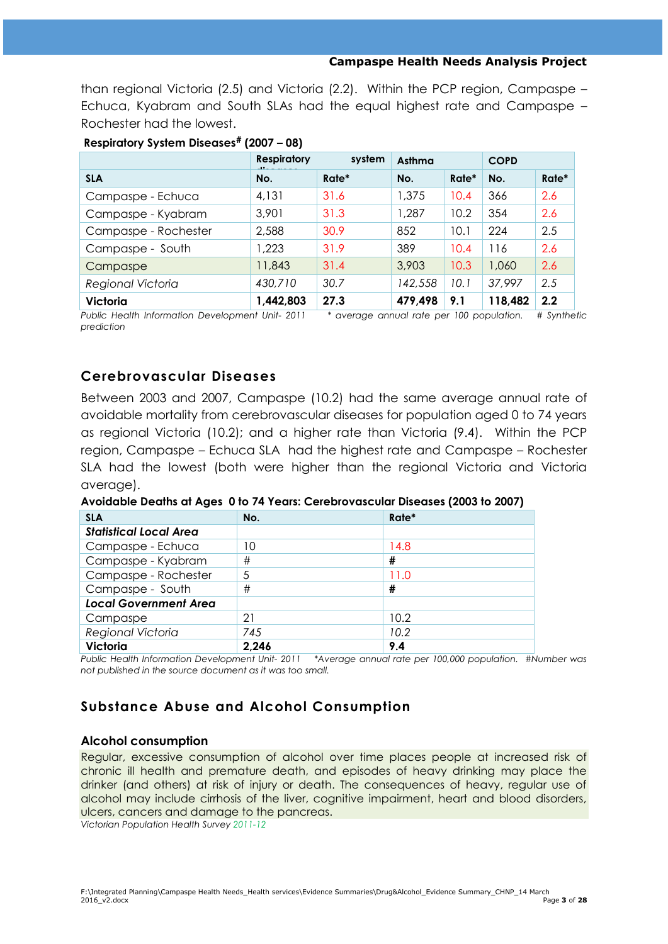than regional Victoria (2.5) and Victoria (2.2). Within the PCP region, Campaspe – Echuca, Kyabram and South SLAs had the equal highest rate and Campaspe – Rochester had the lowest.

|                      | <b>Respiratory</b><br>$\cdot$ | system | Asthma  |       | <b>COPD</b> |       |
|----------------------|-------------------------------|--------|---------|-------|-------------|-------|
| <b>SLA</b>           | No.                           | Rate*  | No.     | Rate* | No.         | Rate* |
| Campaspe - Echuca    | 4,131                         | 31.6   | 1,375   | 10.4  | 366         | 2.6   |
| Campaspe - Kyabram   | 3,901                         | 31.3   | 1,287   | 10.2  | 354         | 2.6   |
| Campaspe - Rochester | 2,588                         | 30.9   | 852     | 10.1  | 224         | 2.5   |
| Campaspe - South     | 1,223                         | 31.9   | 389     | 10.4  | 116         | 2.6   |
| Campaspe             | 11,843                        | 31.4   | 3,903   | 10.3  | 1,060       | 2.6   |
| Regional Victoria    | 430,710                       | 30.7   | 142,558 | 10.1  | 37,997      | 2.5   |
| <b>Victoria</b>      | 1,442,803                     | 27.3   | 479,498 | 9.1   | 118,482     | 2.2   |

#### **Respiratory System Diseases# (2007 – 08)**

*Public Health Information Development Unit- 2011 \* average annual rate per 100 population. # Synthetic prediction*

### **Cerebrovascular Diseases**

Between 2003 and 2007, Campaspe (10.2) had the same average annual rate of avoidable mortality from cerebrovascular diseases for population aged 0 to 74 years as regional Victoria (10.2); and a higher rate than Victoria (9.4). Within the PCP region, Campaspe – Echuca SLA had the highest rate and Campaspe – Rochester SLA had the lowest (both were higher than the regional Victoria and Victoria average).

**Avoidable Deaths at Ages 0 to 74 Years: Cerebrovascular Diseases (2003 to 2007)**

| <b>SLA</b>                    | No.   | Rate* |
|-------------------------------|-------|-------|
| <b>Statistical Local Area</b> |       |       |
| Campaspe - Echuca             | 10    | 14.8  |
| Campaspe - Kyabram            | #     | #     |
| Campaspe - Rochester          | 5     | 11.0  |
| Campaspe - South              | #     | #     |
| <b>Local Government Area</b>  |       |       |
| Campaspe                      | 21    | 10.2  |
| Regional Victoria             | 745   | 10.2  |
| Victoria                      | 2,246 | 9.4   |

*Public Health Information Development Unit- 2011 \*Average annual rate per 100,000 population. #Number was not published in the source document as it was too small.*

# **Substance Abuse and Alcohol Consumption**

#### **Alcohol consumption**

Regular, excessive consumption of alcohol over time places people at increased risk of chronic ill health and premature death, and episodes of heavy drinking may place the drinker (and others) at risk of injury or death. The consequences of heavy, regular use of alcohol may include cirrhosis of the liver, cognitive impairment, heart and blood disorders, ulcers, cancers and damage to the pancreas.

*Victorian Population Health Survey 2011-12*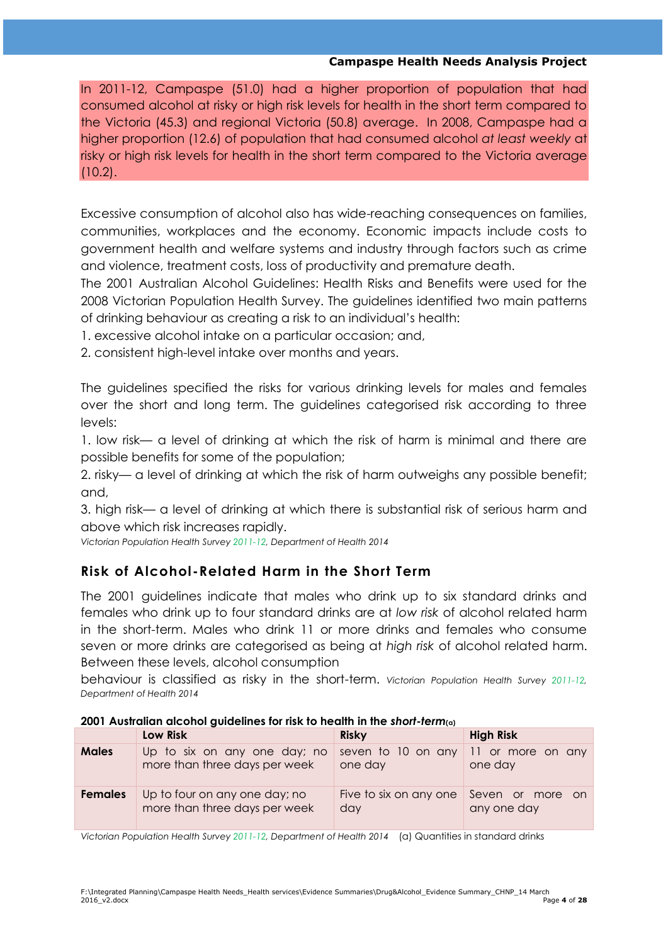In 2011-12, Campaspe (51.0) had a higher proportion of population that had consumed alcohol at risky or high risk levels for health in the short term compared to the Victoria (45.3) and regional Victoria (50.8) average. In 2008, Campaspe had a higher proportion (12.6) of population that had consumed alcohol *at least weekly* at risky or high risk levels for health in the short term compared to the Victoria average (10.2).

Excessive consumption of alcohol also has wide-reaching consequences on families, communities, workplaces and the economy. Economic impacts include costs to government health and welfare systems and industry through factors such as crime and violence, treatment costs, loss of productivity and premature death.

The 2001 Australian Alcohol Guidelines: Health Risks and Benefits were used for the 2008 Victorian Population Health Survey. The guidelines identified two main patterns of drinking behaviour as creating a risk to an individual's health:

- 1. excessive alcohol intake on a particular occasion; and,
- 2. consistent high-level intake over months and years.

The guidelines specified the risks for various drinking levels for males and females over the short and long term. The guidelines categorised risk according to three levels:

1. low risk— a level of drinking at which the risk of harm is minimal and there are possible benefits for some of the population;

2. risky— a level of drinking at which the risk of harm outweighs any possible benefit; and,

3. high risk— a level of drinking at which there is substantial risk of serious harm and above which risk increases rapidly.

*Victorian Population Health Survey 2011-12, Department of Health 2014* 

# **Risk of Alcohol-Related Harm in the Short Term**

The 2001 guidelines indicate that males who drink up to six standard drinks and females who drink up to four standard drinks are at *low risk* of alcohol related harm in the short-term. Males who drink 11 or more drinks and females who consume seven or more drinks are categorised as being at *high risk* of alcohol related harm. Between these levels, alcohol consumption

behaviour is classified as risky in the short-term. *Victorian Population Health Survey 2011-12, Department of Health 2014* 

| 2001 Australian alcohol guidelines for risk to health in the short-term(a) |  |
|----------------------------------------------------------------------------|--|
|----------------------------------------------------------------------------|--|

|                | Low Risk                      | <b>Risky</b>           | <b>High Risk</b>  |  |  |
|----------------|-------------------------------|------------------------|-------------------|--|--|
| <b>Males</b>   | Up to six on any one day; no  | seven to 10 on any     | 11 or more on any |  |  |
|                | more than three days per week | one day                | one day           |  |  |
| <b>Females</b> | Up to four on any one day; no | Five to six on any one | Seven or more on  |  |  |
|                | more than three days per week | day                    | any one day       |  |  |

*Victorian Population Health Survey 2011-12, Department of Health 2014* (a) Quantities in standard drinks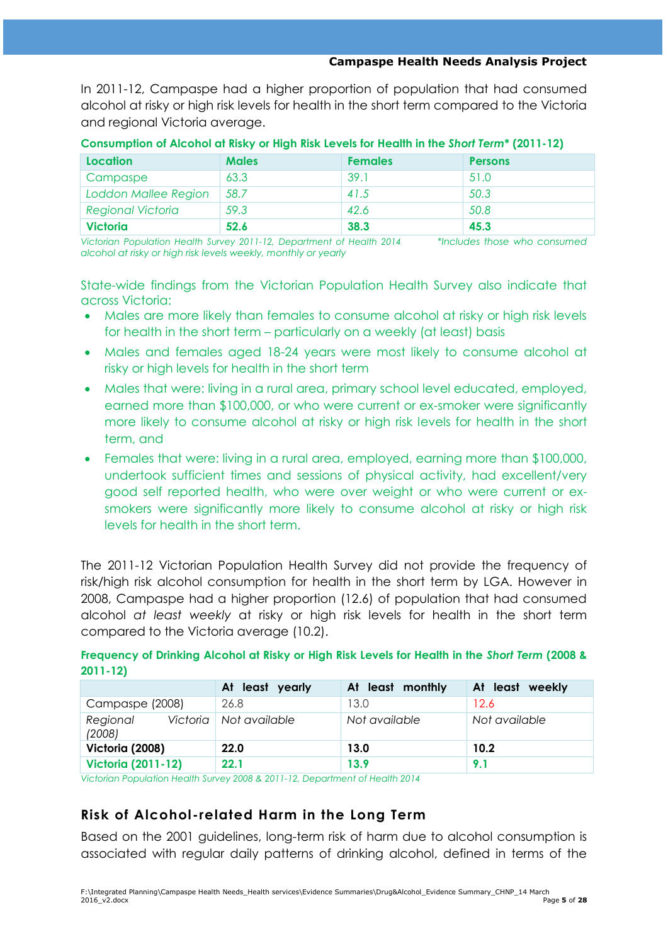In 2011-12, Campaspe had a higher proportion of population that had consumed alcohol at risky or high risk levels for health in the short term compared to the Victoria and regional Victoria average.

| Location                 | <b>Males</b> | <b>Females</b> | <b>Persons</b> |
|--------------------------|--------------|----------------|----------------|
| Campaspe                 | 63.3         | 39.1           | 51.0           |
| Loddon Mallee Region     | 58.7         | 41.5           | 50.3           |
| <b>Regional Victoria</b> | 59.3         | 42.6           | 50.8           |
| <b>Victoria</b>          | 52.6         | 38.3           | 45.3           |

**Consumption of Alcohol at Risky or High Risk Levels for Health in the** *Short Term***\* (2011-12)**

*Victorian Population Health Survey 2011-12, Department of Health 2014 \*Includes those who consumed alcohol at risky or high risk levels weekly, monthly or yearly*

State-wide findings from the Victorian Population Health Survey also indicate that across Victoria:

- Males are more likely than females to consume alcohol at risky or high risk levels for health in the short term – particularly on a weekly (at least) basis
- Males and females aged 18-24 years were most likely to consume alcohol at risky or high levels for health in the short term
- Males that were: living in a rural area, primary school level educated, employed, earned more than \$100,000, or who were current or ex-smoker were significantly more likely to consume alcohol at risky or high risk levels for health in the short term, and
- Females that were: living in a rural area, employed, earning more than \$100,000, undertook sufficient times and sessions of physical activity, had excellent/very good self reported health, who were over weight or who were current or exsmokers were significantly more likely to consume alcohol at risky or high risk levels for health in the short term.

The 2011-12 Victorian Population Health Survey did not provide the frequency of risk/high risk alcohol consumption for health in the short term by LGA. However in 2008, Campaspe had a higher proportion (12.6) of population that had consumed alcohol *at least weekly* at risky or high risk levels for health in the short term compared to the Victoria average (10.2).

**Frequency of Drinking Alcohol at Risky or High Risk Levels for Health in the** *Short Term* **(2008 & 2011-12)**

|                                | At least yearly | At least monthly | At least weekly |
|--------------------------------|-----------------|------------------|-----------------|
| Campaspe (2008)                | 26.8            | 13.0             | 12.6            |
| Victoria<br>Regional<br>(2008) | Not available   | Not available    | Not available   |
| Victoria (2008)                | 22.0            | 13.0             | 10.2            |
| <b>Victoria (2011-12)</b>      | 22.1            | 13.9             | 9.1             |

*Victorian Population Health Survey 2008 & 2011-12, Department of Health 2014*

# **Risk of Alcohol-related Harm in the Long Term**

Based on the 2001 guidelines, long-term risk of harm due to alcohol consumption is associated with regular daily patterns of drinking alcohol, defined in terms of the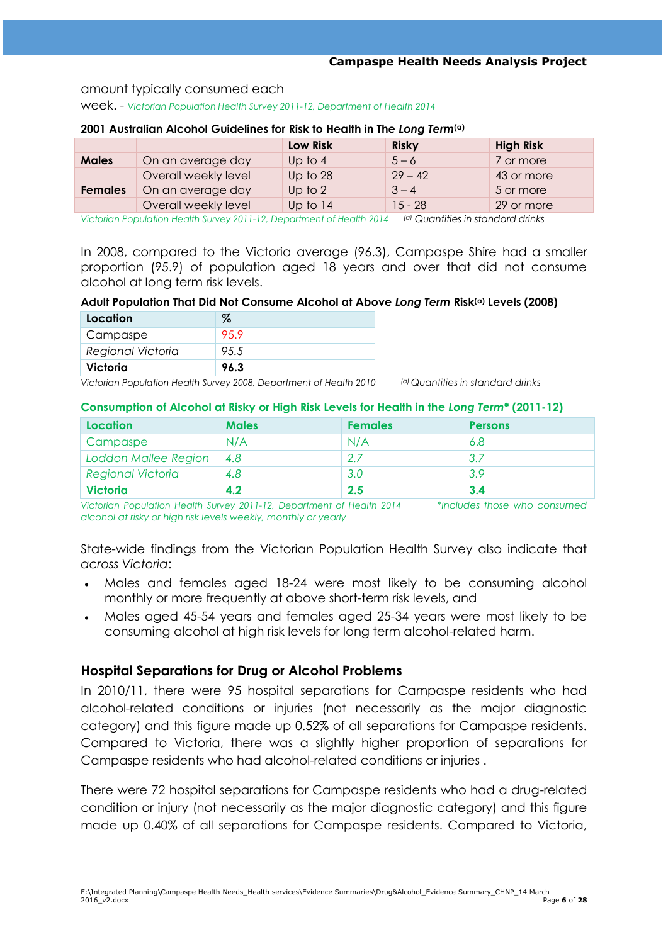#### amount typically consumed each

week. - *Victorian Population Health Survey 2011-12, Department of Health 2014* 

|                |                      | <b>Low Risk</b> | <b>Risky</b> | <b>High Risk</b> |  |
|----------------|----------------------|-----------------|--------------|------------------|--|
| <b>Males</b>   | On an average day    | Up to $4$       | $5 - 6$      | 7 or more        |  |
|                | Overall weekly level | Up to 28        | $29 - 42$    | 43 or more       |  |
| <b>Females</b> | On an average day    | Up to $2$       | $3 - 4$      | 5 or more        |  |
|                | Overall weekly level | Up to 14        | $15 - 28$    | 29 or more       |  |
|                |                      |                 |              |                  |  |

#### **2001 Australian Alcohol Guidelines for Risk to Health in The** *Long Term***(a)**

*Victorian Population Health Survey 2011-12, Department of Health 2014 (a) Quantities in standard drinks*

In 2008, compared to the Victoria average (96.3), Campaspe Shire had a smaller proportion (95.9) of population aged 18 years and over that did not consume alcohol at long term risk levels.

#### **Adult Population That Did Not Consume Alcohol at Above** *Long Term* **Risk(a) Levels (2008)**

| Location                 | $\%$  |
|--------------------------|-------|
| Campaspe                 | 959   |
| <b>Regional Victoria</b> | 9.5.5 |
| Victoria                 | 96.3  |

*Victorian Population Health Survey 2008, Department of Health 2010 (a) Quantities in standard drinks*

#### **Consumption of Alcohol at Risky or High Risk Levels for Health in the** *Long Term***\* (2011-12)**

| Location                    | <b>Males</b> | <b>Females</b> | <b>Persons</b> |
|-----------------------------|--------------|----------------|----------------|
| Campaspe                    | N/A          | N/A            | 6.8            |
| <b>Loddon Mallee Region</b> | 4.8          | 2.7            | 3.7            |
| <b>Regional Victoria</b>    | 4.8          | 3.0            | 3.9            |
| <b>Victoria</b>             | 4.2          | 2.5            | 3.4            |

*Victorian Population Health Survey 2011-12, Department of Health 2014 \*Includes those who consumed alcohol at risky or high risk levels weekly, monthly or yearly*

State-wide findings from the Victorian Population Health Survey also indicate that *across Victoria*:

- Males and females aged 18-24 were most likely to be consuming alcohol monthly or more frequently at above short-term risk levels, and
- Males aged 45-54 years and females aged 25-34 years were most likely to be consuming alcohol at high risk levels for long term alcohol-related harm.

### **Hospital Separations for Drug or Alcohol Problems**

In 2010/11, there were 95 hospital separations for Campaspe residents who had alcohol-related conditions or injuries (not necessarily as the major diagnostic category) and this figure made up 0.52% of all separations for Campaspe residents. Compared to Victoria, there was a slightly higher proportion of separations for Campaspe residents who had alcohol-related conditions or injuries .

There were 72 hospital separations for Campaspe residents who had a drug-related condition or injury (not necessarily as the major diagnostic category) and this figure made up 0.40% of all separations for Campaspe residents. Compared to Victoria,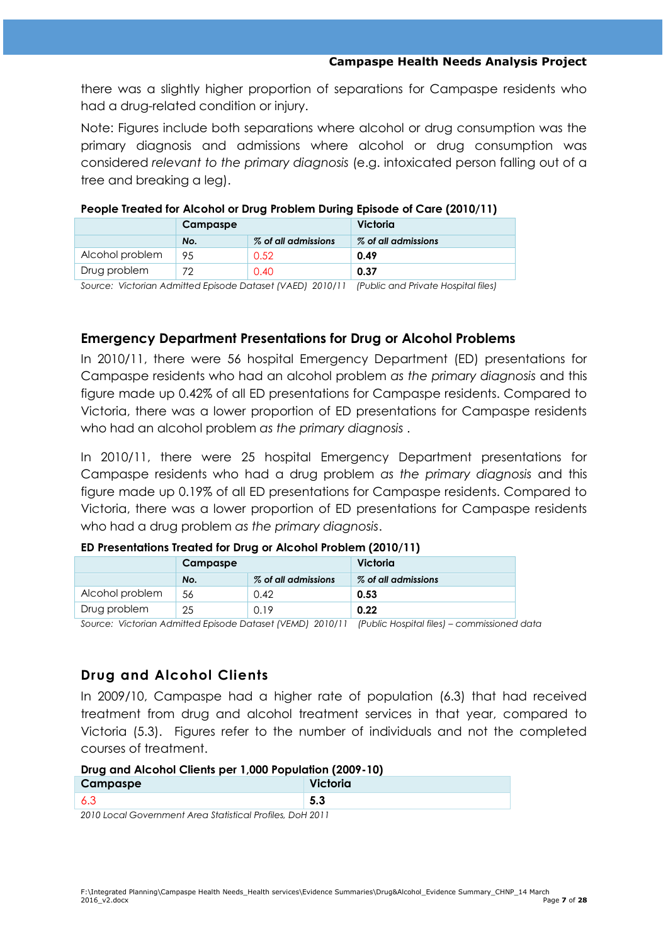there was a slightly higher proportion of separations for Campaspe residents who had a drug-related condition or injury.

Note: Figures include both separations where alcohol or drug consumption was the primary diagnosis and admissions where alcohol or drug consumption was considered *relevant to the primary diagnosis* (e.g. intoxicated person falling out of a tree and breaking a leg).

|                 | Campaspe |                        | Victoria               |  |  |  |
|-----------------|----------|------------------------|------------------------|--|--|--|
|                 | No.      | $\%$ of all admissions | $\%$ of all admissions |  |  |  |
| Alcohol problem | 95       | 0.52                   | 0.49                   |  |  |  |
| Drug problem    |          | 0.40                   | 0.37                   |  |  |  |

#### **People Treated for Alcohol or Drug Problem During Episode of Care (2010/11)**

*Source: Victorian Admitted Episode Dataset (VAED) 2010/11 (Public and Private Hospital files)*

### **Emergency Department Presentations for Drug or Alcohol Problems**

In 2010/11, there were 56 hospital Emergency Department (ED) presentations for Campaspe residents who had an alcohol problem *as the primary diagnosis* and this figure made up 0.42% of all ED presentations for Campaspe residents. Compared to Victoria, there was a lower proportion of ED presentations for Campaspe residents who had an alcohol problem *as the primary diagnosis* .

In 2010/11, there were 25 hospital Emergency Department presentations for Campaspe residents who had a drug problem *as the primary diagnosis* and this figure made up 0.19% of all ED presentations for Campaspe residents. Compared to Victoria, there was a lower proportion of ED presentations for Campaspe residents who had a drug problem *as the primary diagnosis*.

#### **ED Presentations Treated for Drug or Alcohol Problem (2010/11)**

|                 | <b>Campaspe</b> |                        | Victoria               |  |  |  |
|-----------------|-----------------|------------------------|------------------------|--|--|--|
|                 | No.             | $\%$ of all admissions | $\%$ of all admissions |  |  |  |
| Alcohol problem | 56              | 0.42                   | 0.53                   |  |  |  |
| Drug problem    | 25              | 0.19                   | 0.22                   |  |  |  |

*Source: Victorian Admitted Episode Dataset (VEMD) 2010/11 (Public Hospital files) – commissioned data*

# **Drug and Alcohol Clients**

In 2009/10, Campaspe had a higher rate of population (6.3) that had received treatment from drug and alcohol treatment services in that year, compared to Victoria (5.3). Figures refer to the number of individuals and not the completed courses of treatment.

#### **Drug and Alcohol Clients per 1,000 Population (2009-10)**

| Campaspe |  | Victoria |
|----------|--|----------|
|          |  | .ა.      |

*2010 Local Government Area Statistical Profiles, DoH 2011*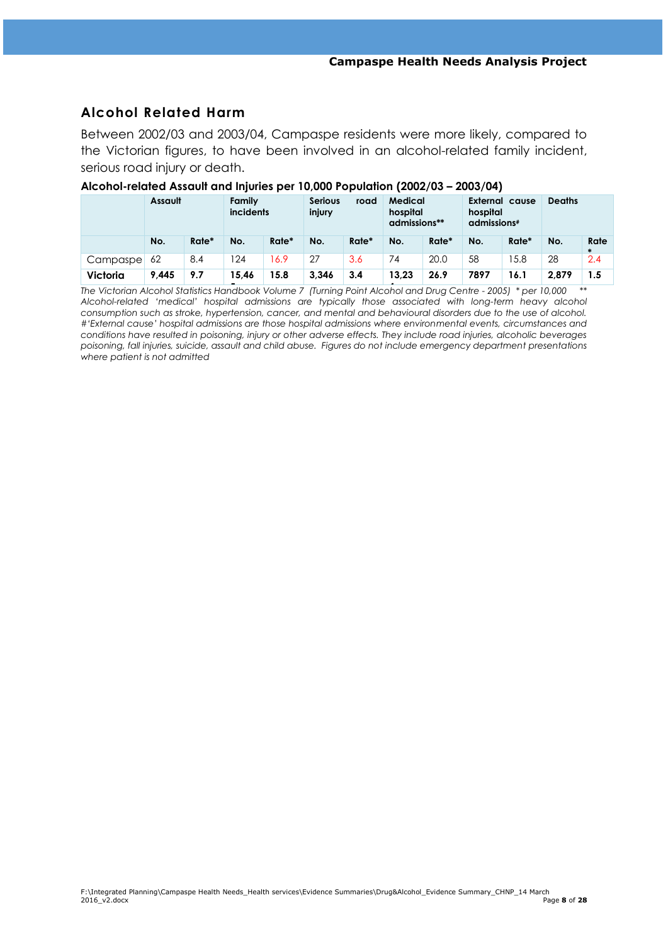# **Alcohol Related Harm**

Between 2002/03 and 2003/04, Campaspe residents were more likely, compared to the Victorian figures, to have been involved in an alcohol-related family incident, serious road injury or death.

|                 | Assault |       | Family<br><b>Serious</b><br>incidents<br>injury |       | road  | Medical<br>hospital<br>admissions** |       | External cause<br>hospital<br>admissions# |      | <b>Deaths</b> |       |                |
|-----------------|---------|-------|-------------------------------------------------|-------|-------|-------------------------------------|-------|-------------------------------------------|------|---------------|-------|----------------|
|                 | No.     | Rate* | No.                                             | Rate* | No.   | Rate*                               | No.   | Rate*                                     | No.  | Rate*         | No.   | Rate<br>$\ast$ |
| Campaspel       | 62      | 8.4   | 24                                              | 6.9   | 27    | 3.6                                 | 74    | 20.0                                      | 58   | 5.8           | 28    | 2.4            |
| <b>Victoria</b> | 9,445   | 9.7   | 15.46                                           | 15.8  | 3.346 | 3.4                                 | 13,23 | 26.9                                      | 7897 | 16.1          | 2,879 | 1.5            |

#### **Alcohol-related Assault and Injuries per 10,000 Population (2002/03 – 2003/04)**

**5 4** *The Victorian Alcohol Statistics Handbook Volume 7 (Turning Point Alcohol and Drug Centre - 2005) \* per 10,000 \*\* Alcohol-related 'medical' hospital admissions are typically those associated with long-term heavy alcohol consumption such as stroke, hypertension, cancer, and mental and behavioural disorders due to the use of alcohol. #'External cause' hospital admissions are those hospital admissions where environmental events, circumstances and conditions have resulted in poisoning, injury or other adverse effects. They include road injuries, alcoholic beverages poisoning, fall injuries, suicide, assault and child abuse. Figures do not include emergency department presentations where patient is not admitted*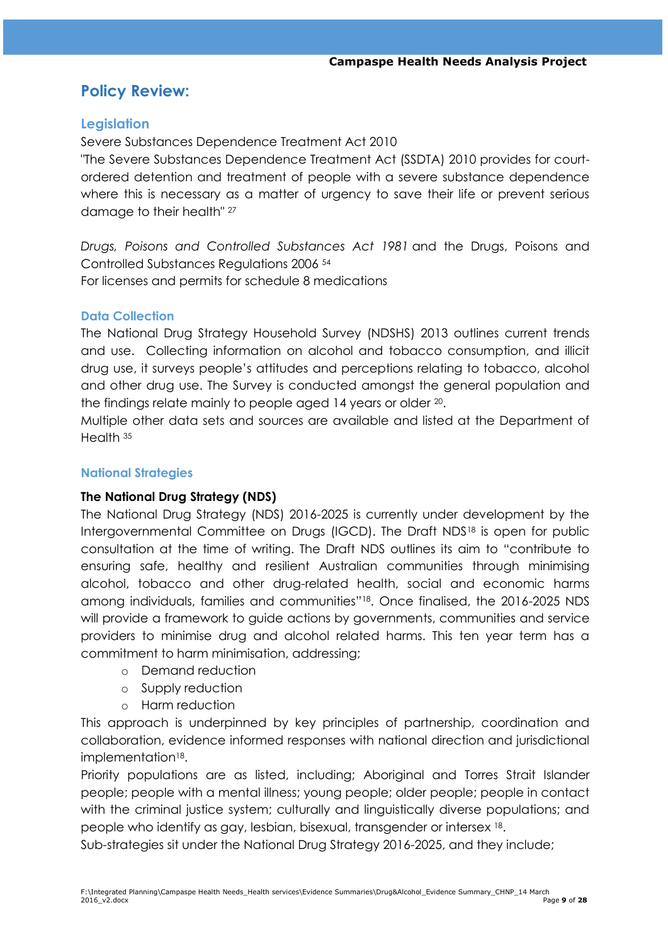# **Policy Review:**

## **Legislation**

Severe Substances Dependence Treatment Act 2010

"The Severe Substances Dependence Treatment Act (SSDTA) 2010 provides for courtordered detention and treatment of people with a severe substance dependence where this is necessary as a matter of urgency to save their life or prevent serious damage to their health" <sup>27</sup>

*Drugs, Poisons and Controlled Substances Act 1981* and the Drugs, Poisons and Controlled Substances Regulations 2006 <sup>54</sup>

For licenses and permits for schedule 8 medications

### **Data Collection**

The National Drug Strategy Household Survey (NDSHS) 2013 outlines current trends and use. Collecting information on alcohol and tobacco consumption, and illicit drug use, it surveys people's attitudes and perceptions relating to tobacco, alcohol and other drug use. The Survey is conducted amongst the general population and the findings relate mainly to people aged 14 years or older <sup>20</sup>.

Multiple other data sets and sources are available and listed at the Department of Health <sup>35</sup>

#### **National Strategies**

### **The National Drug Strategy (NDS)**

The National Drug Strategy (NDS) 2016-2025 is currently under development by the Intergovernmental Committee on Drugs (IGCD). The Draft NDS<sup>18</sup> is open for public consultation at the time of writing. The Draft NDS outlines its aim to "contribute to ensuring safe, healthy and resilient Australian communities through minimising alcohol, tobacco and other drug-related health, social and economic harms among individuals, families and communities"<sup>18</sup>. Once finalised, the 2016-2025 NDS will provide a framework to guide actions by governments, communities and service providers to minimise drug and alcohol related harms. This ten year term has a commitment to harm minimisation, addressing;

- o Demand reduction
- o Supply reduction
- o Harm reduction

This approach is underpinned by key principles of partnership, coordination and collaboration, evidence informed responses with national direction and jurisdictional implementation<sup>18</sup>.

Priority populations are as listed, including; Aboriginal and Torres Strait Islander people; people with a mental illness; young people; older people; people in contact with the criminal justice system; culturally and linguistically diverse populations; and people who identify as gay, lesbian, bisexual, transgender or intersex <sup>18</sup> .

Sub-strategies sit under the National Drug Strategy 2016-2025, and they include;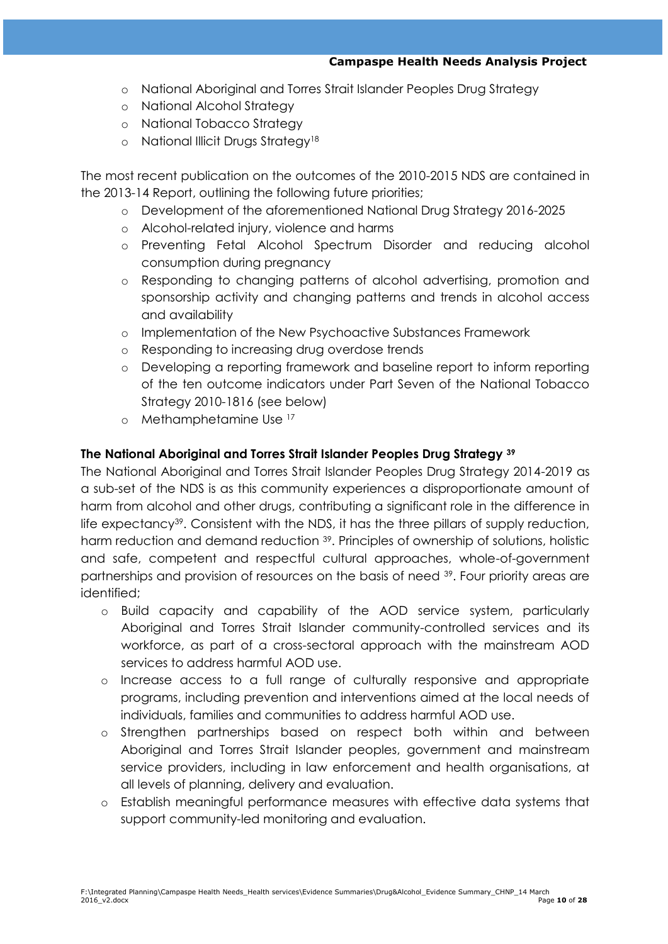- o National Aboriginal and Torres Strait Islander Peoples Drug Strategy
- o National Alcohol Strategy
- o National Tobacco Strategy
- o National Illicit Drugs Strategy<sup>18</sup>

The most recent publication on the outcomes of the 2010-2015 NDS are contained in the 2013-14 Report, outlining the following future priorities;

- o Development of the aforementioned National Drug Strategy 2016-2025
- o Alcohol-related injury, violence and harms
- o Preventing Fetal Alcohol Spectrum Disorder and reducing alcohol consumption during pregnancy
- o Responding to changing patterns of alcohol advertising, promotion and sponsorship activity and changing patterns and trends in alcohol access and availability
- o Implementation of the New Psychoactive Substances Framework
- o Responding to increasing drug overdose trends
- o Developing a reporting framework and baseline report to inform reporting of the ten outcome indicators under Part Seven of the National Tobacco Strategy 2010-1816 (see below)
- o Methamphetamine Use <sup>17</sup>

### **The [National Aboriginal and Torres Strait Islander Peoples Drug Strategy](http://www.nationaldrugstrategy.gov.au/internet/drugstrategy/Publishing.nsf/content/6EE311AA9F620C82CA257EAC0006A8F0/$File/FINAL%20National%20Aboriginal%20and%20Torres%20Strait%20Islander%20Peoples) <sup>39</sup>**

The National Aboriginal and Torres Strait Islander Peoples Drug Strategy 2014-2019 as a sub-set of the NDS is as this community experiences a disproportionate amount of harm from alcohol and other drugs, contributing a significant role in the difference in life expectancy<sup>39</sup>. Consistent with the NDS, it has the three pillars of supply reduction, harm reduction and demand reduction <sup>39</sup>. Principles of ownership of solutions, holistic and safe, competent and respectful cultural approaches, whole-of-government partnerships and provision of resources on the basis of need <sup>39</sup>. Four priority areas are identified;

- o Build capacity and capability of the AOD service system, particularly Aboriginal and Torres Strait Islander community-controlled services and its workforce, as part of a cross-sectoral approach with the mainstream AOD services to address harmful AOD use.
- o Increase access to a full range of culturally responsive and appropriate programs, including prevention and interventions aimed at the local needs of individuals, families and communities to address harmful AOD use.
- o Strengthen partnerships based on respect both within and between Aboriginal and Torres Strait Islander peoples, government and mainstream service providers, including in law enforcement and health organisations, at all levels of planning, delivery and evaluation.
- o Establish meaningful performance measures with effective data systems that support community-led monitoring and evaluation.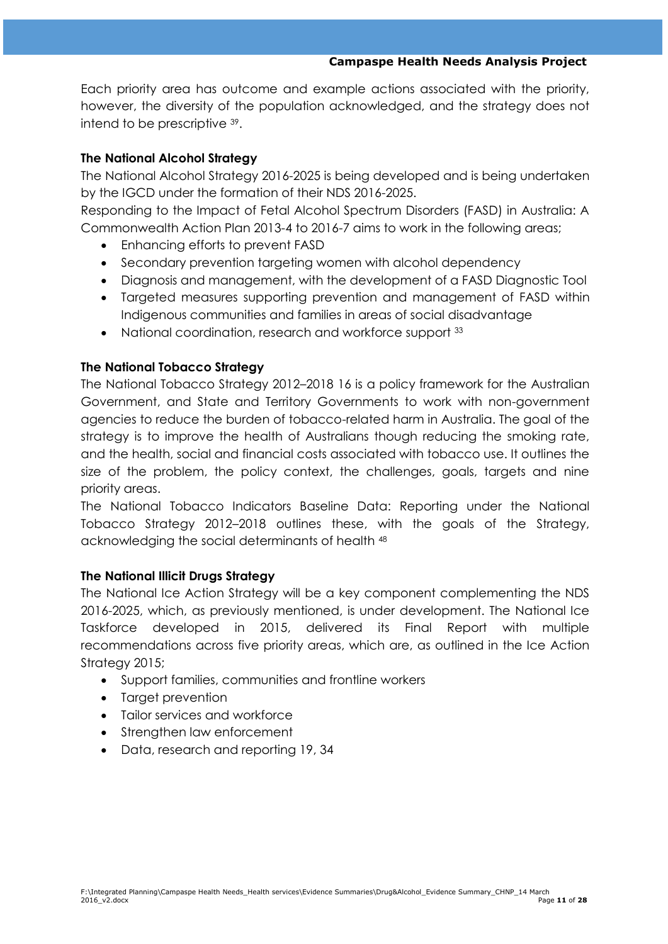Each priority area has outcome and example actions associated with the priority, however, the diversity of the population acknowledged, and the strategy does not intend to be prescriptive <sup>39</sup> .

## **The National Alcohol Strategy**

The National Alcohol Strategy 2016-2025 is being developed and is being undertaken by the IGCD under the formation of their NDS 2016-2025.

Responding to the Impact of Fetal Alcohol Spectrum Disorders (FASD) in Australia: A Commonwealth Action Plan 2013-4 to 2016-7 aims to work in the following areas;

- Enhancing efforts to prevent FASD
- Secondary prevention targeting women with alcohol dependency
- Diagnosis and management, with the development of a FASD Diagnostic Tool
- Targeted measures supporting prevention and management of FASD within Indigenous communities and families in areas of social disadvantage
- National coordination, research and workforce support 33

### **The National Tobacco Strategy**

The National Tobacco Strategy 2012–2018 16 is a policy framework for the Australian Government, and State and Territory Governments to work with non-government agencies to reduce the burden of tobacco-related harm in Australia. The goal of the strategy is to improve the health of Australians though reducing the smoking rate, and the health, social and financial costs associated with tobacco use. It outlines the size of the problem, the policy context, the challenges, goals, targets and nine priority areas.

The National Tobacco Indicators Baseline Data: Reporting under the National Tobacco Strategy 2012–2018 outlines these, with the goals of the Strategy, acknowledging the social determinants of health <sup>48</sup>

### **The National Illicit Drugs Strategy**

The National Ice Action Strategy will be a key component complementing the NDS 2016-2025, which, as previously mentioned, is under development. The National Ice Taskforce developed in 2015, delivered its Final Report with multiple recommendations across five priority areas, which are, as outlined in the Ice Action Strategy 2015;

- Support families, communities and frontline workers
- Target prevention
- Tailor services and workforce
- Strengthen law enforcement
- Data, research and reporting 19, 34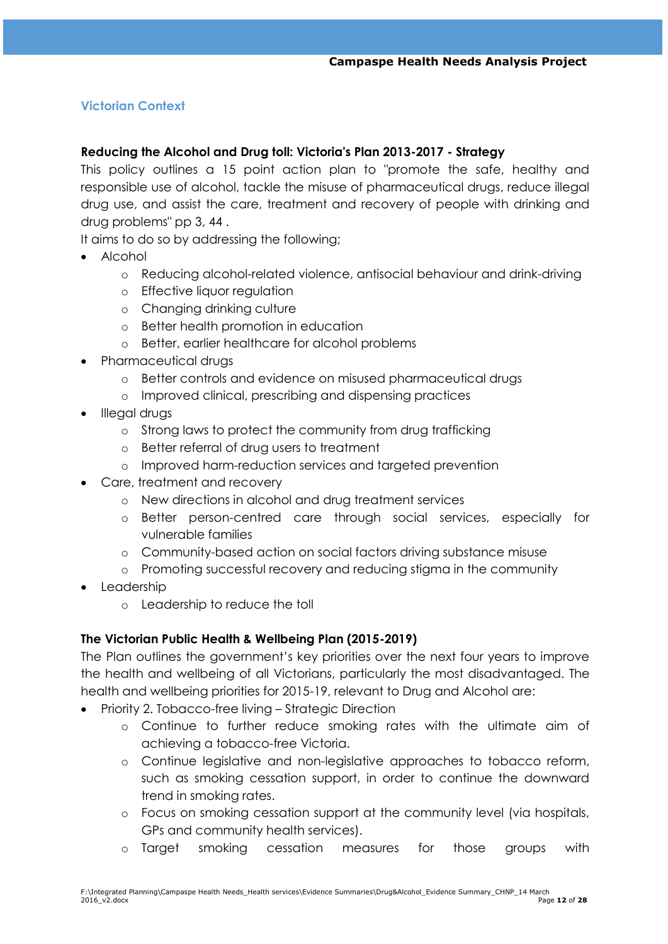# **Victorian Context**

## **Reducing the Alcohol and Drug toll: Victoria's Plan 2013-2017 - Strategy**

This policy outlines a 15 point action plan to "promote the safe, healthy and responsible use of alcohol, tackle the misuse of pharmaceutical drugs, reduce illegal drug use, and assist the care, treatment and recovery of people with drinking and drug problems" pp 3, 44 .

It aims to do so by addressing the following;

- Alcohol
	- o Reducing alcohol-related violence, antisocial behaviour and drink-driving
	- o Effective liquor regulation
	- o Changing drinking culture
	- o Better health promotion in education
	- o Better, earlier healthcare for alcohol problems
- Pharmaceutical druas
	- o Better controls and evidence on misused pharmaceutical drugs
	- o Improved clinical, prescribing and dispensing practices
- Illegal drugs
	- o Strong laws to protect the community from drug trafficking
	- o Better referral of drug users to treatment
	- o Improved harm-reduction services and targeted prevention
- Care, treatment and recovery
	- o New directions in alcohol and drug treatment services
	- o Better person-centred care through social services, especially for vulnerable families
	- o Community-based action on social factors driving substance misuse
	- o Promoting successful recovery and reducing stigma in the community
- Leadership
	- o Leadership to reduce the toll

### **The Victorian Public Health & Wellbeing Plan (2015-2019)**

The Plan outlines the government's key priorities over the next four years to improve the health and wellbeing of all Victorians, particularly the most disadvantaged. The health and wellbeing priorities for 2015-19, relevant to Drug and Alcohol are:

- Priority 2. Tobacco-free living Strategic Direction
	- o Continue to further reduce smoking rates with the ultimate aim of achieving a tobacco-free Victoria.
	- o Continue legislative and non-legislative approaches to tobacco reform, such as smoking cessation support, in order to continue the downward trend in smoking rates.
	- o Focus on smoking cessation support at the community level (via hospitals, GPs and community health services).
	- o Target smoking cessation measures for those groups with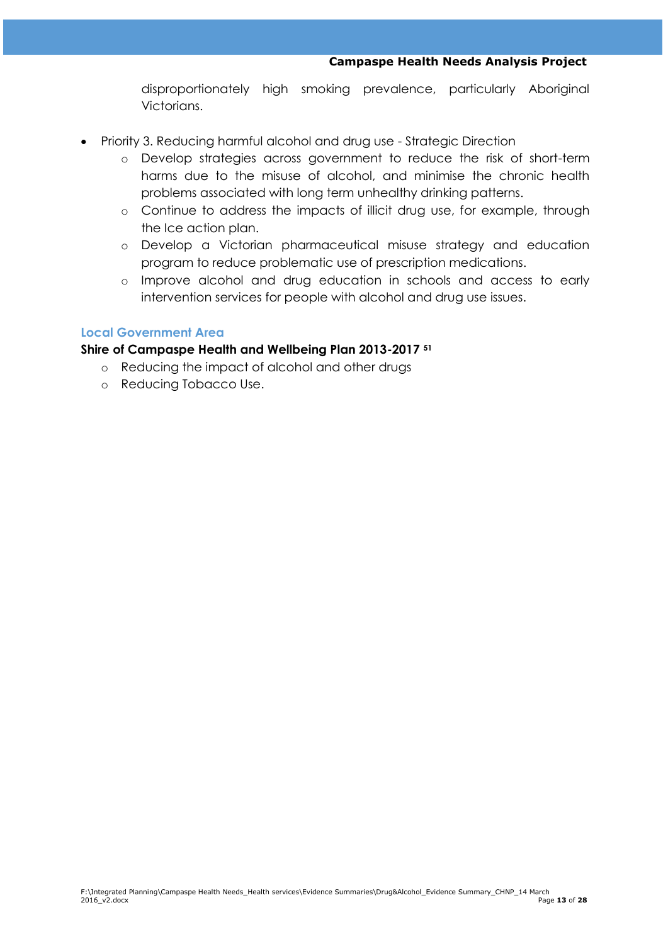disproportionately high smoking prevalence, particularly Aboriginal Victorians.

- Priority 3. Reducing harmful alcohol and drug use Strategic Direction
	- o Develop strategies across government to reduce the risk of short-term harms due to the misuse of alcohol, and minimise the chronic health problems associated with long term unhealthy drinking patterns.
	- o Continue to address the impacts of illicit drug use, for example, through the Ice action plan.
	- o Develop a Victorian pharmaceutical misuse strategy and education program to reduce problematic use of prescription medications.
	- o Improve alcohol and drug education in schools and access to early intervention services for people with alcohol and drug use issues.

#### **Local Government Area**

#### **Shire of Campaspe Health and Wellbeing Plan 2013-2017 <sup>51</sup>**

- o Reducing the impact of alcohol and other drugs
- o Reducing Tobacco Use.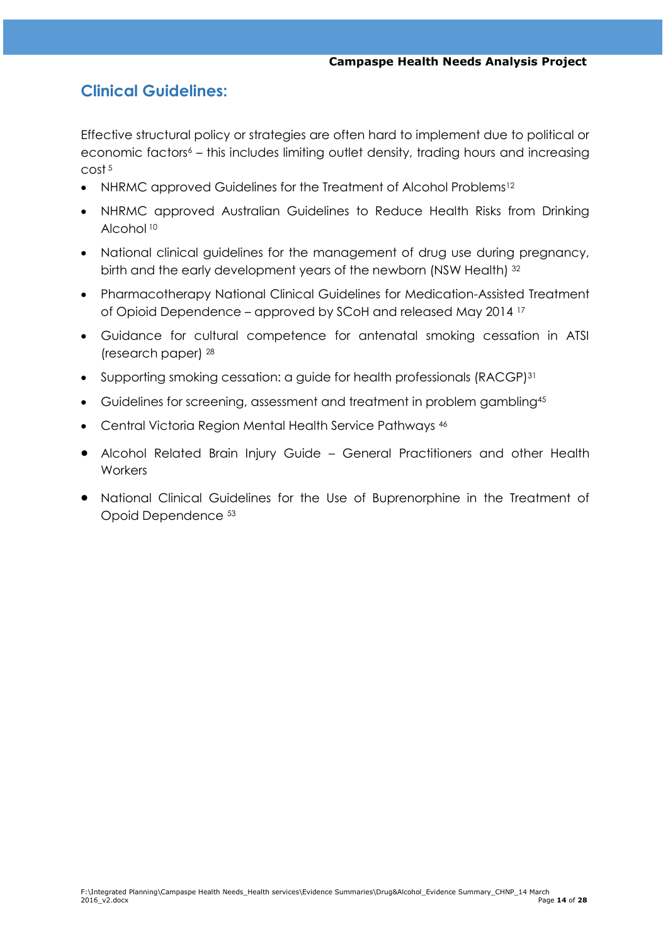# **Clinical Guidelines:**

Effective structural policy or strategies are often hard to implement due to political or economic factors<sup>6</sup> – this includes limiting outlet density, trading hours and increasing cost <sup>5</sup>

- NHRMC approved Guidelines for the Treatment of Alcohol Problems<sup>12</sup>
- NHRMC approved Australian Guidelines to Reduce Health Risks from Drinking Alcohol <sup>10</sup>
- National clinical guidelines for the management of drug use during pregnancy, birth and the early development years of the newborn (NSW Health) 32
- Pharmacotherapy National Clinical Guidelines for Medication-Assisted Treatment of Opioid Dependence – approved by SCoH and released May 2014 <sup>17</sup>
- Guidance for cultural competence for antenatal smoking cessation in ATSI (research paper) <sup>28</sup>
- Supporting smoking cessation: a guide for health professionals (RACGP)<sup>31</sup>
- Guidelines for screening, assessment and treatment in problem gambling<sup>45</sup>
- Central Victoria Region Mental Health Service Pathways 46
- Alcohol Related Brain Injury Guide General Practitioners and other Health **Workers**
- National Clinical Guidelines for the Use of Buprenorphine in the Treatment of Opoid Dependence 53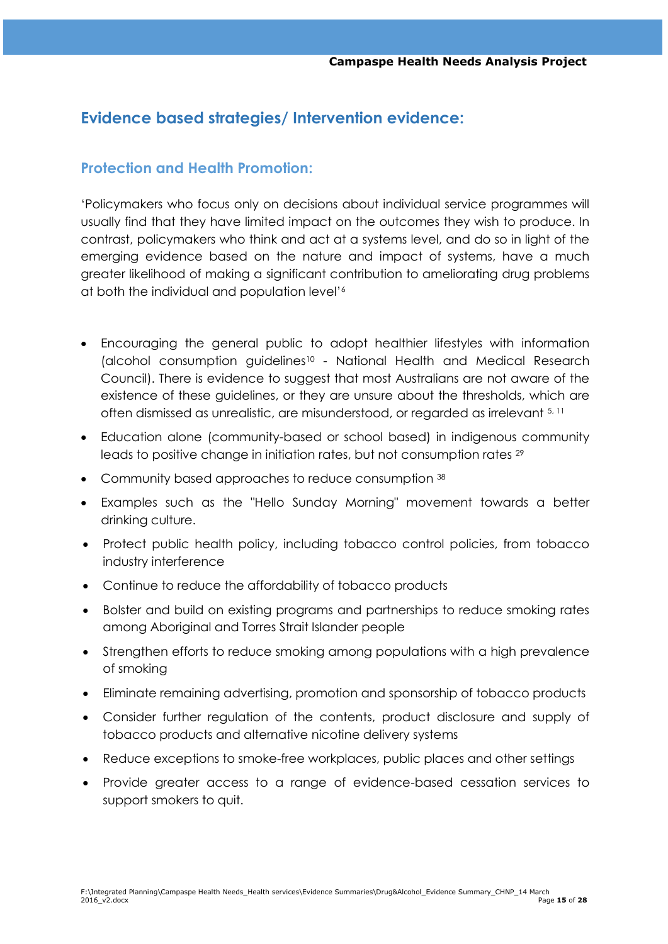# **Evidence based strategies/ Intervention evidence:**

# **Protection and Health Promotion:**

‗Policymakers who focus only on decisions about individual service programmes will usually find that they have limited impact on the outcomes they wish to produce. In contrast, policymakers who think and act at a systems level, and do so in light of the emerging evidence based on the nature and impact of systems, have a much greater likelihood of making a significant contribution to ameliorating drug problems at both the individual and population level'<sup>6</sup>

- Encouraging the general public to adopt healthier lifestyles with information (alcohol consumption guidelines<sup>10</sup> - National Health and Medical Research Council). There is evidence to suggest that most Australians are not aware of the existence of these guidelines, or they are unsure about the thresholds, which are often dismissed as unrealistic, are misunderstood, or regarded as irrelevant 5, 11
- Education alone (community-based or school based) in indigenous community leads to positive change in initiation rates, but not consumption rates <sup>29</sup>
- Community based approaches to reduce consumption 38
- Examples such as the "Hello Sunday Morning" movement towards a better drinking culture.
- Protect public health policy, including tobacco control policies, from tobacco industry interference
- Continue to reduce the affordability of tobacco products
- Bolster and build on existing programs and partnerships to reduce smoking rates among Aboriginal and Torres Strait Islander people
- Strengthen efforts to reduce smoking among populations with a high prevalence of smoking
- Eliminate remaining advertising, promotion and sponsorship of tobacco products
- Consider further regulation of the contents, product disclosure and supply of tobacco products and alternative nicotine delivery systems
- Reduce exceptions to smoke-free workplaces, public places and other settings
- Provide greater access to a range of evidence-based cessation services to support smokers to quit.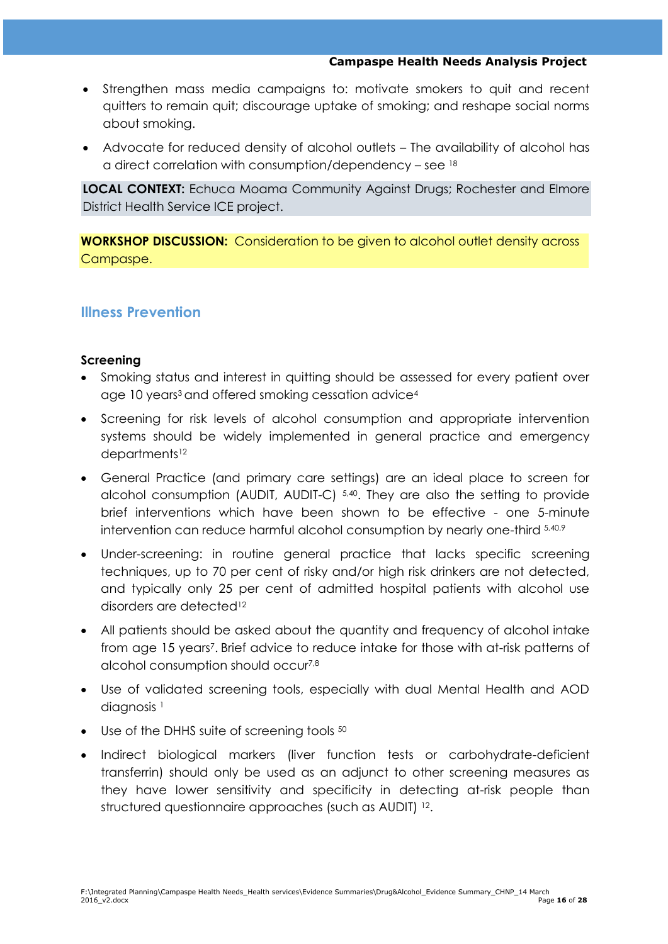- Strengthen mass media campaigns to: motivate smokers to quit and recent quitters to remain quit; discourage uptake of smoking; and reshape social norms about smoking.
- Advocate for reduced density of alcohol outlets The availability of alcohol has a direct correlation with consumption/dependency – see <sup>18</sup>

**LOCAL CONTEXT:** Echuca Moama Community Against Drugs; Rochester and Elmore District Health Service ICE project.

**WORKSHOP DISCUSSION:** Consideration to be given to alcohol outlet density across Campaspe.

# **Illness Prevention**

#### **Screening**

- Smoking status and interest in quitting should be assessed for every patient over age 10 years<sup>3</sup> and offered smoking cessation advice<sup>4</sup>
- Screening for risk levels of alcohol consumption and appropriate intervention systems should be widely implemented in general practice and emergency departments<sup>12</sup>
- General Practice (and primary care settings) are an ideal place to screen for alcohol consumption (AUDIT, AUDIT-C) 5,40. They are also the setting to provide brief interventions which have been shown to be effective - one 5-minute intervention can reduce harmful alcohol consumption by nearly one-third  $5,40,9$
- Under-screening: in routine general practice that lacks specific screening techniques, up to 70 per cent of risky and/or high risk drinkers are not detected, and typically only 25 per cent of admitted hospital patients with alcohol use disorders are detected<sup>12</sup>
- All patients should be asked about the quantity and frequency of alcohol intake from age 15 years<sup>7</sup>. Brief advice to reduce intake for those with at-risk patterns of alcohol consumption should occur7,8
- Use of validated screening tools, especially with dual Mental Health and AOD diagnosis<sup>1</sup>
- Use of the DHHS suite of screening tools 50
- Indirect biological markers (liver function tests or carbohydrate-deficient transferrin) should only be used as an adjunct to other screening measures as they have lower sensitivity and specificity in detecting at-risk people than structured questionnaire approaches (such as AUDIT)<sup>12</sup>.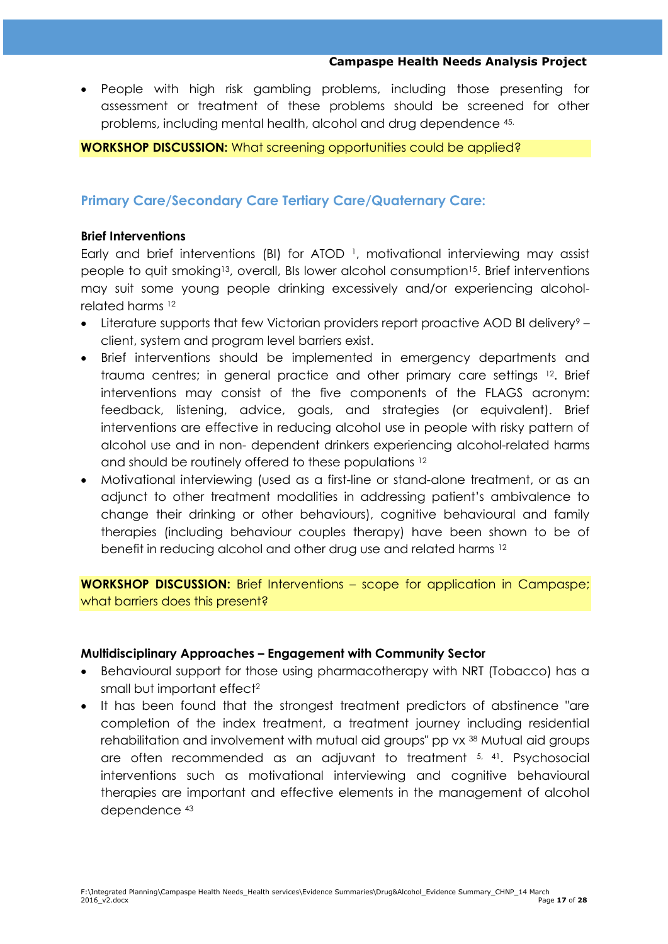People with high risk gambling problems, including those presenting for assessment or treatment of these problems should be screened for other problems, including mental health, alcohol and drug dependence 45.

## **WORKSHOP DISCUSSION:** What screening opportunities could be applied?

# **Primary Care/Secondary Care Tertiary Care/Quaternary Care:**

### **Brief Interventions**

Early and brief interventions (BI) for ATOD<sup>1</sup>, motivational interviewing may assist people to quit smoking<sup>13</sup>, overall, BIs lower alcohol consumption<sup>15</sup>. Brief interventions may suit some young people drinking excessively and/or experiencing alcoholrelated harms <sup>12</sup>

- Literature supports that few Victorian providers report proactive AOD BI delivery<sup>9</sup> client, system and program level barriers exist.
- Brief interventions should be implemented in emergency departments and trauma centres; in general practice and other primary care settings 12. Brief interventions may consist of the five components of the FLAGS acronym: feedback, listening, advice, goals, and strategies (or equivalent). Brief interventions are effective in reducing alcohol use in people with risky pattern of alcohol use and in non- dependent drinkers experiencing alcohol-related harms and should be routinely offered to these populations <sup>12</sup>
- Motivational interviewing (used as a first-line or stand-alone treatment, or as an adjunct to other treatment modalities in addressing patient's ambivalence to change their drinking or other behaviours), cognitive behavioural and family therapies (including behaviour couples therapy) have been shown to be of benefit in reducing alcohol and other drug use and related harms <sup>12</sup>

**WORKSHOP DISCUSSION:** Brief Interventions – scope for application in Campaspe; what barriers does this present?

# **Multidisciplinary Approaches – Engagement with Community Sector**

- Behavioural support for those using pharmacotherapy with NRT (Tobacco) has a small but important effect<sup>2</sup>
- It has been found that the strongest treatment predictors of abstinence "are completion of the index treatment, a treatment journey including residential rehabilitation and involvement with mutual aid groups" pp vx <sup>38</sup> Mutual aid groups are often recommended as an adjuvant to treatment 5, 41. Psychosocial interventions such as motivational interviewing and cognitive behavioural therapies are important and effective elements in the management of alcohol dependence 43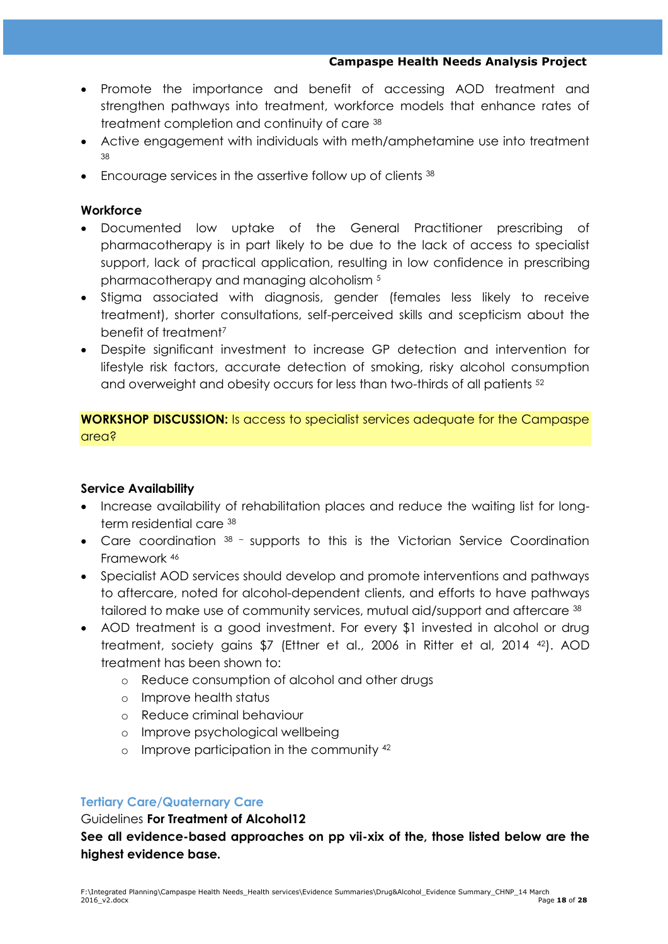- Promote the importance and benefit of accessing AOD treatment and strengthen pathways into treatment, workforce models that enhance rates of treatment completion and continuity of care <sup>38</sup>
- Active engagement with individuals with meth/amphetamine use into treatment 38
- **Encourage services in the assertive follow up of clients**  $38$

# **Workforce**

- Documented low uptake of the General Practitioner prescribing of pharmacotherapy is in part likely to be due to the lack of access to specialist support, lack of practical application, resulting in low confidence in prescribing pharmacotherapy and managing alcoholism <sup>5</sup>
- Stigma associated with diagnosis, gender (females less likely to receive treatment), shorter consultations, self-perceived skills and scepticism about the benefit of treatment<sup>7</sup>
- Despite significant investment to increase GP detection and intervention for lifestyle risk factors, accurate detection of smoking, risky alcohol consumption and overweight and obesity occurs for less than two-thirds of all patients <sup>52</sup>

**WORKSHOP DISCUSSION:** Is access to specialist services adequate for the Campaspe area?

# **Service Availability**

- Increase availability of rehabilitation places and reduce the waiting list for longterm residential care <sup>38</sup>
- Care coordination 38 supports to this is the Victorian Service Coordination Framework <sup>46</sup>
- Specialist AOD services should develop and promote interventions and pathways to aftercare, noted for alcohol-dependent clients, and efforts to have pathways tailored to make use of community services, mutual aid/support and aftercare 38
- AOD treatment is a good investment. For every \$1 invested in alcohol or drug treatment, society gains \$7 (Ettner et al., 2006 in Ritter et al, 2014 42). AOD treatment has been shown to:
	- o Reduce consumption of alcohol and other drugs
	- o Improve health status
	- o Reduce criminal behaviour
	- o Improve psychological wellbeing
	- o Improve participation in the community <sup>42</sup>

# **Tertiary Care/Quaternary Care**

[Guidelines](http://www.drugsandalcohol.ie/20201/1/Gudelines_for_treatment_of_alcohol_problems.pdf) **For Treatment of Alcohol12**

**See all evidence-based approaches on pp vii-xix of the, those listed below are the highest evidence base.**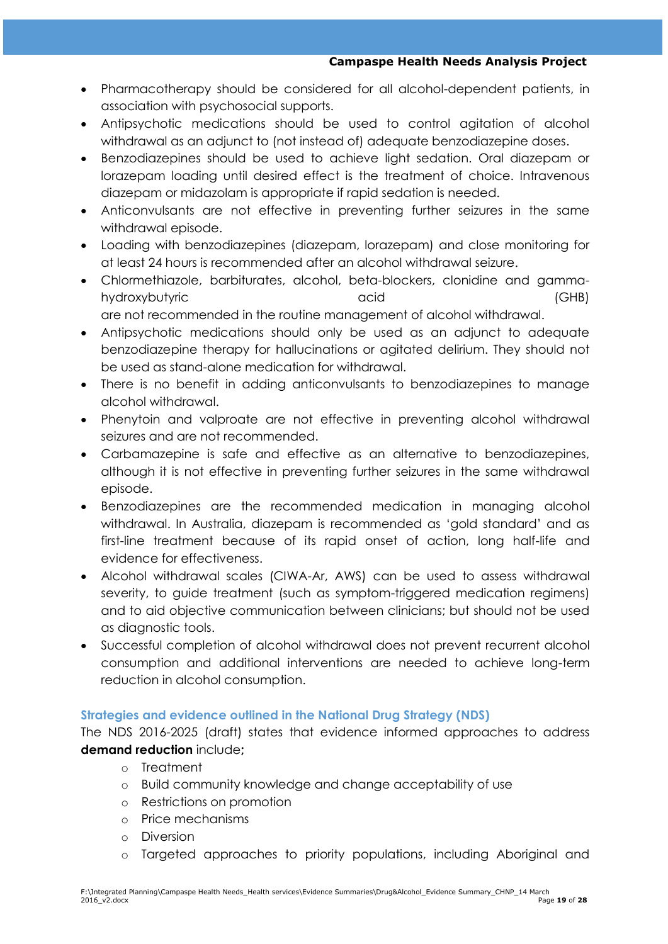- Pharmacotherapy should be considered for all alcohol-dependent patients, in association with psychosocial supports.
- Antipsychotic medications should be used to control agitation of alcohol withdrawal as an adjunct to (not instead of) adequate benzodiazepine doses.
- Benzodiazepines should be used to achieve light sedation. Oral diazepam or lorazepam loading until desired effect is the treatment of choice. Intravenous diazepam or midazolam is appropriate if rapid sedation is needed.
- Anticonvulsants are not effective in preventing further seizures in the same withdrawal episode.
- Loading with benzodiazepines (diazepam, lorazepam) and close monitoring for at least 24 hours is recommended after an alcohol withdrawal seizure.
- Chlormethiazole, barbiturates, alcohol, beta-blockers, clonidine and gammahydroxybutyric acid (GHB) are not recommended in the routine management of alcohol withdrawal.
- Antipsychotic medications should only be used as an adjunct to adequate benzodiazepine therapy for hallucinations or agitated delirium. They should not be used as stand-alone medication for withdrawal.
- There is no benefit in adding anticonvulsants to benzodiazepines to manage alcohol withdrawal.
- Phenytoin and valproate are not effective in preventing alcohol withdrawal seizures and are not recommended.
- Carbamazepine is safe and effective as an alternative to benzodiazepines, although it is not effective in preventing further seizures in the same withdrawal episode.
- Benzodiazepines are the recommended medication in managing alcohol withdrawal. In Australia, diazepam is recommended as 'gold standard' and as first-line treatment because of its rapid onset of action, long half-life and evidence for effectiveness.
- Alcohol withdrawal scales (CIWA-Ar, AWS) can be used to assess withdrawal severity, to guide treatment (such as symptom-triggered medication regimens) and to aid objective communication between clinicians; but should not be used as diagnostic tools.
- Successful completion of alcohol withdrawal does not prevent recurrent alcohol consumption and additional interventions are needed to achieve long-term reduction in alcohol consumption.

# **Strategies and evidence outlined in the National Drug Strategy (NDS)**

The NDS 2016-2025 (draft) states that evidence informed approaches to address **demand reduction** include**;**

- o Treatment
- o Build community knowledge and change acceptability of use
- o Restrictions on promotion
- o Price mechanisms
- o Diversion
- o Targeted approaches to priority populations, including Aboriginal and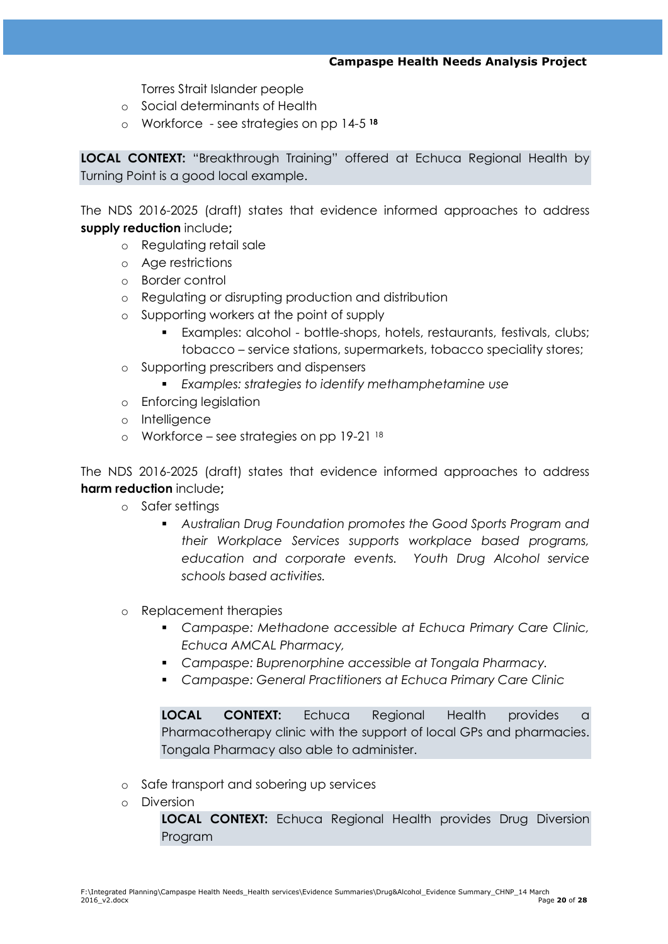Torres Strait Islander people

- o Social determinants of Health
- o Workforce see strategies on pp 14-5 **<sup>18</sup>**

**LOCAL CONTEXT:** "Breakthrough Training" offered at Echuca Regional Health by Turning Point is a good local example.

The NDS 2016-2025 (draft) states that evidence informed approaches to address **supply reduction** include**;**

- o Regulating retail sale
- o Age restrictions
- o Border control
- o Regulating or disrupting production and distribution
- o Supporting workers at the point of supply
	- Examples: alcohol bottle-shops, hotels, restaurants, festivals, clubs; tobacco – service stations, supermarkets, tobacco speciality stores;
- o Supporting prescribers and dispensers
	- *Examples: strategies to identify methamphetamine use*
- o Enforcing legislation
- o Intelligence
- o Workforce see strategies on pp  $19-21$   $18$

The NDS 2016-2025 (draft) states that evidence informed approaches to address **harm reduction** include**;**

- o Safer settings
	- *Australian Drug Foundation promotes the Good Sports Program and their Workplace Services supports workplace based programs, education and corporate events. Youth Drug Alcohol service schools based activities.*
- o Replacement therapies
	- *Campaspe: Methadone accessible at Echuca Primary Care Clinic, Echuca AMCAL Pharmacy,*
	- *Campaspe: Buprenorphine accessible at Tongala Pharmacy.*
	- *Campaspe: General Practitioners at Echuca Primary Care Clinic*

**LOCAL CONTEXT:** Echuca Regional Health provides a Pharmacotherapy clinic with the support of local GPs and pharmacies. Tongala Pharmacy also able to administer.

- o Safe transport and sobering up services
- o Diversion

**LOCAL CONTEXT:** Echuca Regional Health provides Drug Diversion Program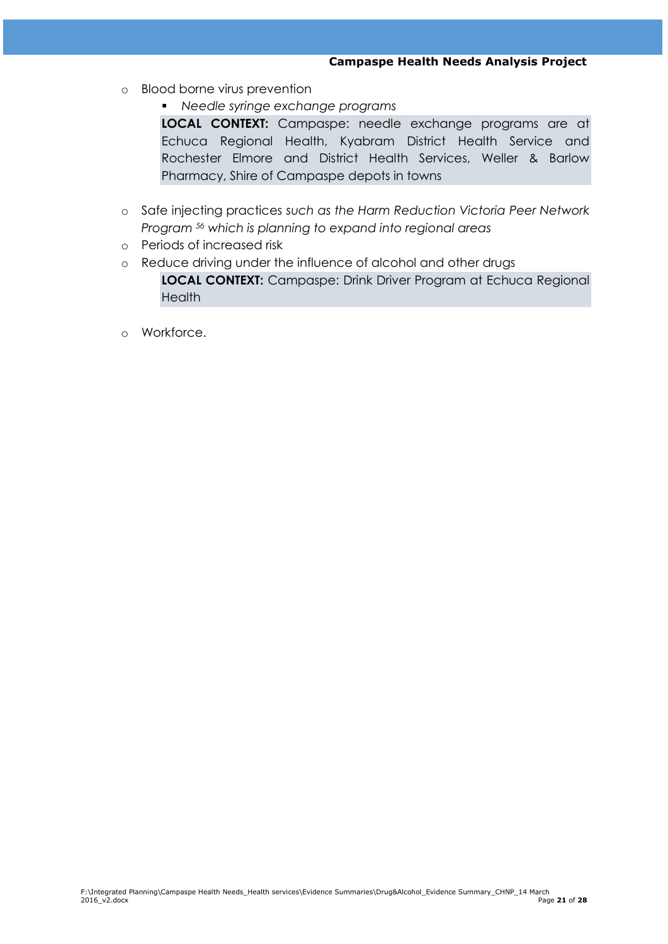- o Blood borne virus prevention
	- *Needle syringe exchange programs*

**LOCAL CONTEXT:** Campaspe: needle exchange programs are at Echuca Regional Health, Kyabram District Health Service and Rochester Elmore and District Health Services, Weller & Barlow Pharmacy, Shire of Campaspe depots in towns

- o Safe injecting practices *such as the Harm Reduction Victoria Peer Network Program <sup>56</sup> which is planning to expand into regional areas*
- o Periods of increased risk
- o Reduce driving under the influence of alcohol and other drugs **LOCAL CONTEXT:** Campaspe: Drink Driver Program at Echuca Regional **Health**
- o Workforce.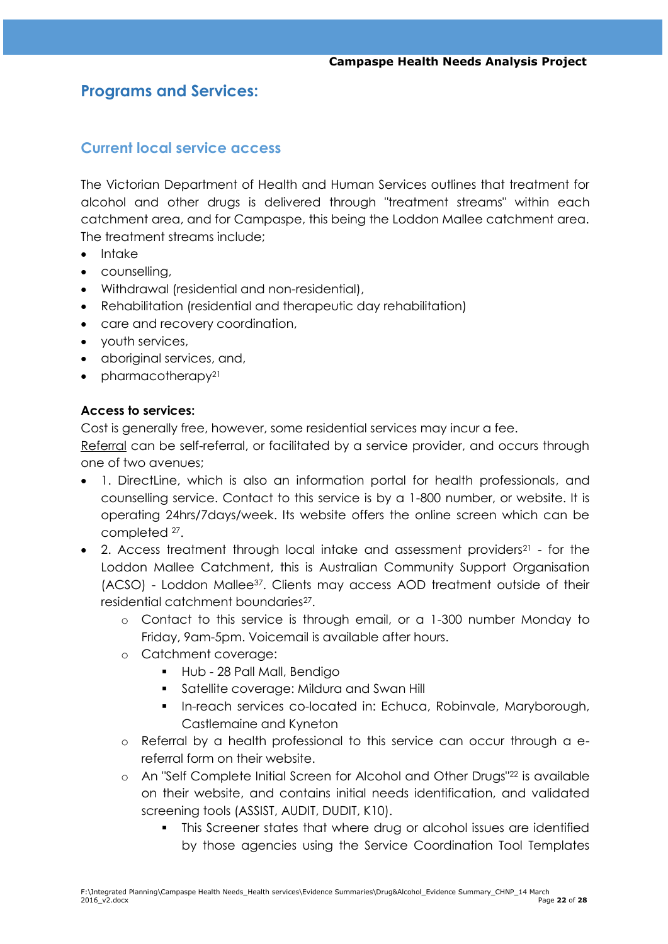# **Programs and Services:**

# **Current local service access**

The Victorian Department of Health and Human Services outlines that treatment for alcohol and other drugs is delivered through ["treatment streams"](https://www2.health.vic.gov.au/alcohol-and-drugs/aod-treatment-services/aod-system-overview) within each catchment area, and for Campaspe, this being the Loddon Mallee catchment area. The treatment streams include;

- Intake
- counselling,
- Withdrawal (residential and non-residential),
- Rehabilitation (residential and therapeutic day rehabilitation)
- care and recovery coordination,
- youth services,
- aboriginal services, and,
- $\bullet$  pharmacotherapy<sup>21</sup>

### **Access to services:**

Cost is generally free, however, some residential services may incur a fee.

Referral can be self-referral, or facilitated by a service provider, and occurs through one of two avenues;

- 1. DirectLine, which is also an information portal for health professionals, and counselling service. Contact to this service is by a 1-800 number, or website. It is operating 24hrs/7days/week. Its website offers the online screen which can be completed <sup>27</sup> .
- 2. Access treatment through local intake and assessment providers<sup>21</sup> for the Loddon Mallee Catchment, this is Australian Community Support Organisation (ACSO) - Loddon Mallee37. Clients may access AOD treatment outside of their residential catchment boundaries<sup>27</sup>.
	- o Contact to this service is through email, or a 1-300 number Monday to Friday, 9am-5pm. Voicemail is available after hours.
	- o Catchment coverage:
		- Hub 28 Pall Mall, Bendigo
		- **Satellite coverage: Mildura and Swan Hill Satellite Coverage: Mildura and Swan Hill**
		- **In-reach services co-located in: Echuca, Robinvale, Maryborough,** Castlemaine and Kyneton
	- o Referral by a health professional to this service can occur through a ereferral form on their website.
	- o An "Self Complete Initial Screen for Alcohol and Other Drugs"<sup>22</sup> is available on their website, and contains initial needs identification, and validated screening tools (ASSIST, AUDIT, DUDIT, K10).
		- This Screener states that where drug or alcohol issues are identified by those agencies using the Service Coordination Tool Templates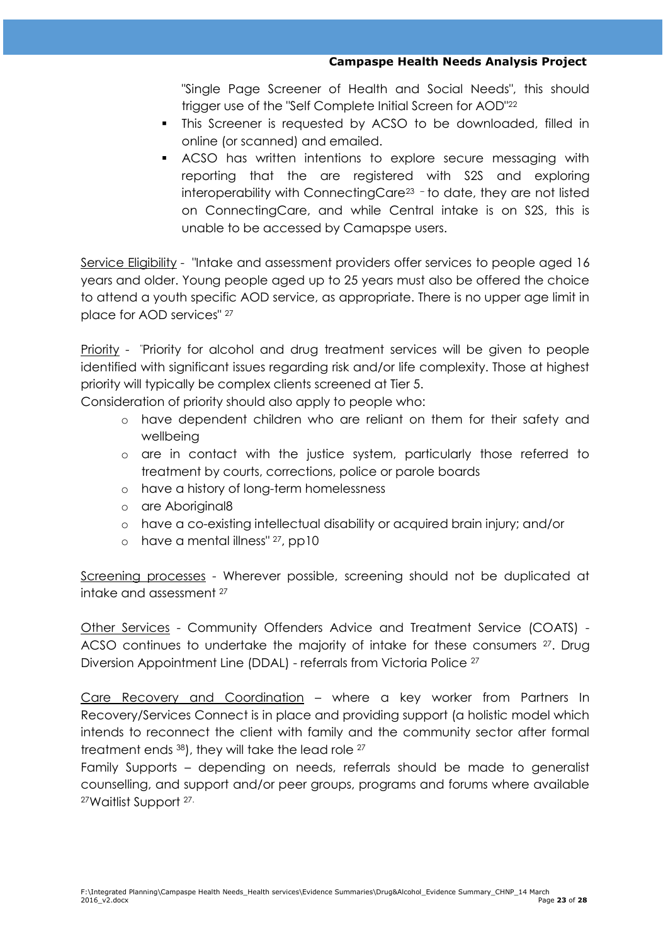"Single Page Screener of Health and Social Needs", this should trigger use of the "Self Complete Initial Screen for AOD"<sup>22</sup>

- This Screener is requested by ACSO to be downloaded, filled in online (or scanned) and emailed.
- ACSO has written intentions to explore secure messaging with reporting that the are registered with S2S and exploring interoperability with ConnectingCare<sup>23</sup> - to date, they are not listed on ConnectingCare, and while Central intake is on S2S, this is unable to be accessed by Camapspe users.

Service Eligibility - "Intake and assessment providers offer services to people aged 16 years and older. Young people aged up to 25 years must also be offered the choice to attend a youth specific AOD service, as appropriate. There is no upper age limit in place for AOD services" <sup>27</sup>

Priority - "Priority for alcohol and drug treatment services will be given to people identified with significant issues regarding risk and/or life complexity. Those at highest priority will typically be complex clients screened at Tier 5.

Consideration of priority should also apply to people who:

- o have dependent children who are reliant on them for their safety and wellbeing
- o are in contact with the justice system, particularly those referred to treatment by courts, corrections, police or parole boards
- o have a history of long-term homelessness
- o are Aboriginal8
- o have a co-existing intellectual disability or acquired brain injury; and/or
- o have a mental illness" 27, pp10

Screening processes - Wherever possible, screening should not be duplicated at intake and assessment <sup>27</sup>

Other Services - Community Offenders Advice and Treatment Service (COATS) - ACSO continues to undertake the majority of intake for these consumers <sup>27</sup>. Drug Diversion Appointment Line (DDAL) - referrals from Victoria Police <sup>27</sup>

Care Recovery and Coordination – where a key worker from Partners In Recovery/Services Connect is in place and providing support (a holistic model which intends to reconnect the client with family and the community sector after formal treatment ends 38), they will take the lead role <sup>27</sup>

Family Supports – depending on needs, referrals should be made to generalist counselling, and support and/or peer groups, programs and forums where available 27Waitlist Support 27.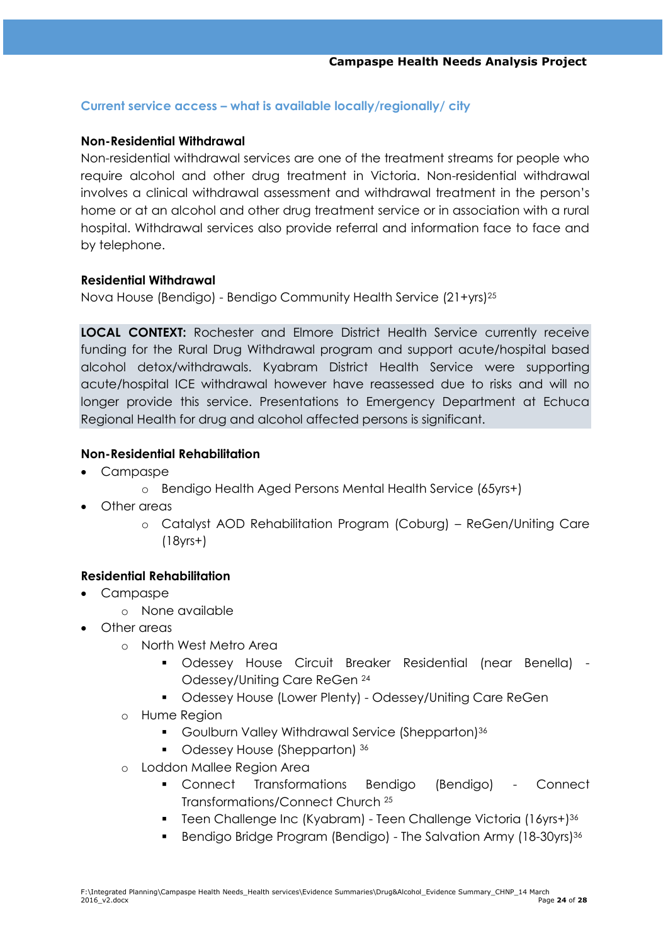### **Current service access – what is available locally/regionally/ city**

### **Non-Residential Withdrawal**

Non-residential withdrawal services are one of the treatment streams for people who require alcohol and other drug treatment in Victoria. Non-residential withdrawal involves a clinical withdrawal assessment and withdrawal treatment in the person's home or at an alcohol and other drug treatment service or in association with a rural hospital. Withdrawal services also provide referral and information face to face and by telephone.

### **Residential Withdrawal**

Nova House (Bendigo) - Bendigo Community Health Service (21+yrs)<sup>25</sup>

**LOCAL CONTEXT:** Rochester and Elmore District Health Service currently receive funding for the Rural Drug Withdrawal program and support acute/hospital based alcohol detox/withdrawals. Kyabram District Health Service were supporting acute/hospital ICE withdrawal however have reassessed due to risks and will no longer provide this service. Presentations to Emergency Department at Echuca Regional Health for drug and alcohol affected persons is significant.

### **Non-Residential Rehabilitation**

- Campaspe
	- o Bendigo Health Aged Persons Mental Health Service (65yrs+)
- Other areas
	- o Catalyst AOD Rehabilitation Program (Coburg) ReGen/Uniting Care (18yrs+)

### **Residential Rehabilitation**

- Campaspe
	- o None available
- Other areas
	- o North West Metro Area
		- Odessey House Circuit Breaker Residential (near Benella) Odessey/Uniting Care ReGen <sup>24</sup>
		- Odessey House (Lower Plenty) Odessey/Uniting Care ReGen
	- o Hume Region
		- Goulburn Valley Withdrawal Service (Shepparton)<sup>36</sup>
		- Odessey House (Shepparton) 36
	- o Loddon Mallee Region Area
		- Connect Transformations Bendigo (Bendigo) Connect Transformations/Connect Church <sup>25</sup>
		- Teen Challenge Inc (Kyabram) Teen Challenge Victoria (16yrs+)<sup>36</sup>
		- **Bendigo Bridge Program (Bendigo) The Salvation Army (18-30yrs)**<sup>36</sup>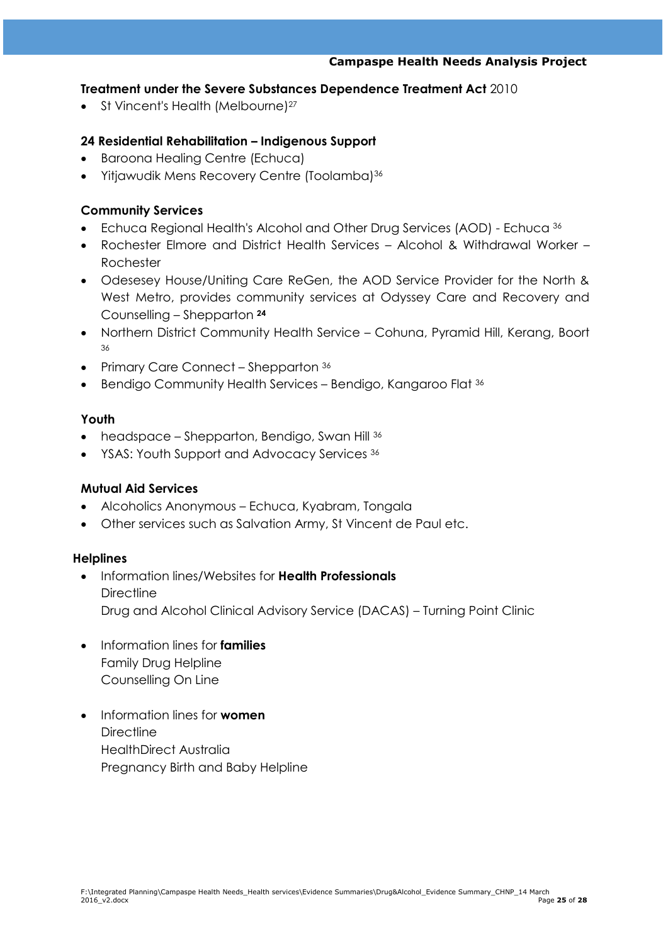### **Treatment under the Severe Substances Dependence Treatment Act** 2010

• St Vincent's Health (Melbourne)<sup>27</sup>

## **24 Residential Rehabilitation – Indigenous Support**

- Baroona Healing Centre (Echuca)
- Yitjawudik Mens Recovery Centre (Toolamba)<sup>36</sup>

### **Community Services**

- Echuca Regional Health's Alcohol and Other Drug Services (AOD) Echuca <sup>36</sup>
- Rochester Elmore and District Health Services Alcohol & Withdrawal Worker Rochester
- Odesesey House/Uniting Care ReGen, the AOD Service Provider for the North & West Metro, provides community services at Odyssey Care and Recovery and Counselling – Shepparton **<sup>24</sup>**
- Northern District Community Health Service Cohuna, Pyramid Hill, Kerang, Boort 36
- Primary Care Connect Shepparton 36
- Bendigo Community Health Services Bendigo, Kangaroo Flat <sup>36</sup>

### **Youth**

- headspace Shepparton, Bendigo, Swan Hill 36
- YSAS: Youth Support and Advocacy Services 36

### **Mutual Aid Services**

- Alcoholics Anonymous Echuca, Kyabram, Tongala
- Other services such as Salvation Army, St Vincent de Paul etc.

### **Helplines**

- Information lines/Websites for **Health Professionals Directline** Drug and Alcohol Clinical Advisory Service (DACAS) – Turning Point Clinic
- Information lines for **families** Family Drug Helpline Counselling On Line
- Information lines for **women Directline** HealthDirect Australia Pregnancy Birth and Baby Helpline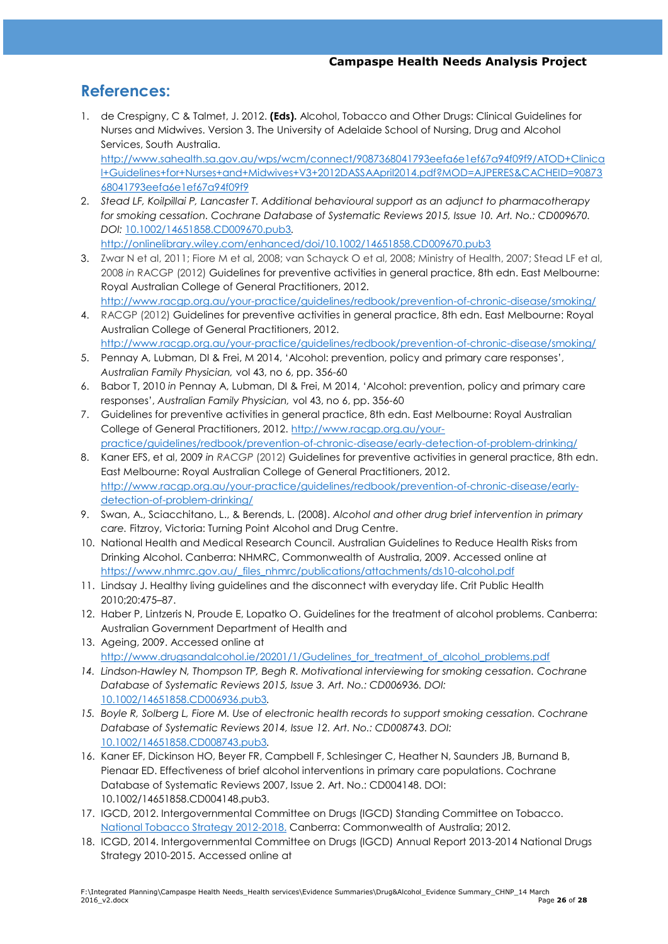# **References:**

- 1. de Crespigny, C & Talmet, J. 2012. **(Eds).** Alcohol, Tobacco and Other Drugs: Clinical Guidelines for Nurses and Midwives. Version 3. The University of Adelaide School of Nursing, Drug and Alcohol Services, South Australia. [http://www.sahealth.sa.gov.au/wps/wcm/connect/9087368041793eefa6e1ef67a94f09f9/ATOD+Clinica](http://www.sahealth.sa.gov.au/wps/wcm/connect/9087368041793eefa6e1ef67a94f09f9/ATOD+Clinical+Guidelines+for+Nurses+and+Midwives+V3+2012DASSAApril2014.pdf?MOD=AJPERES&CACHEID=9087368041793eefa6e1ef67a94f09f9) [l+Guidelines+for+Nurses+and+Midwives+V3+2012DASSAApril2014.pdf?MOD=AJPERES&CACHEID=90873](http://www.sahealth.sa.gov.au/wps/wcm/connect/9087368041793eefa6e1ef67a94f09f9/ATOD+Clinical+Guidelines+for+Nurses+and+Midwives+V3+2012DASSAApril2014.pdf?MOD=AJPERES&CACHEID=9087368041793eefa6e1ef67a94f09f9) [68041793eefa6e1ef67a94f09f9](http://www.sahealth.sa.gov.au/wps/wcm/connect/9087368041793eefa6e1ef67a94f09f9/ATOD+Clinical+Guidelines+for+Nurses+and+Midwives+V3+2012DASSAApril2014.pdf?MOD=AJPERES&CACHEID=9087368041793eefa6e1ef67a94f09f9)
- 2. *Stead LF, Koilpillai P, Lancaster T. Additional behavioural support as an adjunct to pharmacotherapy for smoking cessation. Cochrane Database of Systematic Reviews 2015, Issue 10. Art. No.: CD009670. DOI:* [10.1002/14651858.CD009670.pub3](http://dx.doi.org/10.1002/14651858.CD009670.pub3)*.*

<http://onlinelibrary.wiley.com/enhanced/doi/10.1002/14651858.CD009670.pub3>

- 3. Zwar N et al, 2011; Fiore M et al, 2008; van Schayck O et al, 2008; Ministry of Health, 2007; Stead LF et al, 2008 *in* RACGP (2012) Guidelines for preventive activities in general practice, 8th edn. East Melbourne: Royal Australian College of General Practitioners, 2012. <http://www.racgp.org.au/your-practice/guidelines/redbook/prevention-of-chronic-disease/smoking/>
- 4. RACGP (2012) Guidelines for preventive activities in general practice, 8th edn. East Melbourne: Royal Australian College of General Practitioners, 2012. <http://www.racgp.org.au/your-practice/guidelines/redbook/prevention-of-chronic-disease/smoking/>
- 5. Pennay A, Lubman, DI & Frei, M 2014, 'Alcohol: prevention, policy and primary care responses', *Australian Family Physician,* vol 43, no 6, pp. 356-60
- 6. Babor T, 2010 *in* Pennay A, Lubman, DI & Frei, M 2014, ‗Alcohol: prevention, policy and primary care responses', *Australian Family Physician,* vol 43, no 6, pp. 356-60
- 7. Guidelines for preventive activities in general practice, 8th edn. East Melbourne: Royal Australian College of General Practitioners, 2012. [http://www.racgp.org.au/your](http://www.racgp.org.au/your-practice/guidelines/redbook/prevention-of-chronic-disease/early-detection-of-problem-drinking/)[practice/guidelines/redbook/prevention-of-chronic-disease/early-detection-of-problem-drinking/](http://www.racgp.org.au/your-practice/guidelines/redbook/prevention-of-chronic-disease/early-detection-of-problem-drinking/)
- 8. Kaner EFS, et al, 2009 *in RACGP* (2012) Guidelines for preventive activities in general practice, 8th edn. East Melbourne: Royal Australian College of General Practitioners, 2012. [http://www.racgp.org.au/your-practice/guidelines/redbook/prevention-of-chronic-disease/early](http://www.racgp.org.au/your-practice/guidelines/redbook/prevention-of-chronic-disease/early-detection-of-problem-drinking/)[detection-of-problem-drinking/](http://www.racgp.org.au/your-practice/guidelines/redbook/prevention-of-chronic-disease/early-detection-of-problem-drinking/)
- 9. Swan, A., Sciacchitano, L., & Berends, L. (2008). *Alcohol and other drug brief intervention in primary care.* Fitzroy, Victoria: Turning Point Alcohol and Drug Centre.
- 10. National Health and Medical Research Council. Australian Guidelines to Reduce Health Risks from Drinking Alcohol. Canberra: NHMRC, Commonwealth of Australia, 2009. Accessed online at [https://www.nhmrc.gov.au/\\_files\\_nhmrc/publications/attachments/ds10-alcohol.pdf](https://www.nhmrc.gov.au/_files_nhmrc/publications/attachments/ds10-alcohol.pdf)
- 11. Lindsay J. Healthy living guidelines and the disconnect with everyday life. Crit Public Health 2010;20:475–87.
- 12. Haber P, Lintzeris N, Proude E, Lopatko O. Guidelines for the treatment of alcohol problems. Canberra: Australian Government Department of Health and
- 13. Ageing, 2009. Accessed online at [http://www.drugsandalcohol.ie/20201/1/Gudelines\\_for\\_treatment\\_of\\_alcohol\\_problems.pdf](http://www.drugsandalcohol.ie/20201/1/Gudelines_for_treatment_of_alcohol_problems.pdf)
- *14. Lindson-Hawley N, Thompson TP, Begh R. Motivational interviewing for smoking cessation. Cochrane Database of Systematic Reviews 2015, Issue 3. Art. No.: CD006936. DOI:*  [10.1002/14651858.CD006936.pub3](http://dx.doi.org/10.1002/14651858.CD006936.pub3)*.*
- *15. Boyle R, Solberg L, Fiore M. Use of electronic health records to support smoking cessation. Cochrane Database of Systematic Reviews 2014, Issue 12. Art. No.: CD008743. DOI:*  [10.1002/14651858.CD008743.pub3](http://dx.doi.org/10.1002/14651858.CD008743.pub3)*.*
- 16. Kaner EF, Dickinson HO, Beyer FR, Campbell F, Schlesinger C, Heather N, Saunders JB, Burnand B, Pienaar ED. Effectiveness of brief alcohol interventions in primary care populations. Cochrane Database of Systematic Reviews 2007, Issue 2. Art. No.: CD004148. DOI: 10.1002/14651858.CD004148.pub3.
- 17. IGCD, 2012. Intergovernmental Committee on Drugs (IGCD) Standing Committee on Tobacco. [National Tobacco Strategy 2012-2018.](http://wiki.cancer.org.au/policy/Citation:Intergovernmental_Committee_on_Drugs_(IGCD)_Standing_Committee_on_Tobacco_2012) Canberra: Commonwealth of Australia; 2012.
- 18. ICGD, 2014. Intergovernmental Committee on Drugs (IGCD) Annual Report 2013-2014 National Drugs Strategy 2010-2015. Accessed online at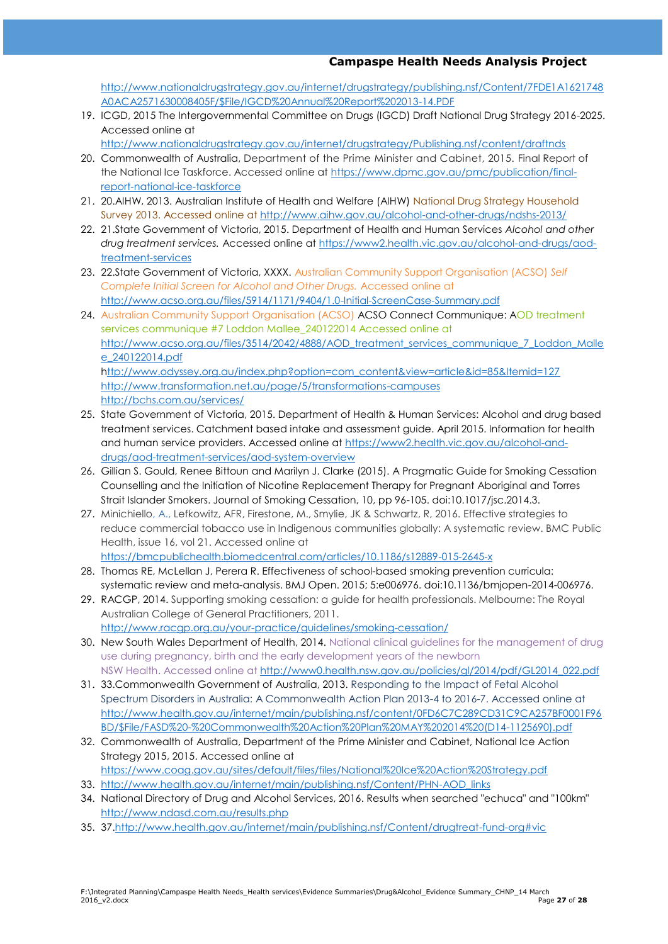[http://www.nationaldrugstrategy.gov.au/internet/drugstrategy/publishing.nsf/Content/7FDE1A1621748](http://www.nationaldrugstrategy.gov.au/internet/drugstrategy/publishing.nsf/Content/7FDE1A1621748A0ACA2571630008405F/$File/IGCD%20Annual%20Report%202013-14.PDF) [A0ACA2571630008405F/\\$File/IGCD%20Annual%20Report%202013-14.PDF](http://www.nationaldrugstrategy.gov.au/internet/drugstrategy/publishing.nsf/Content/7FDE1A1621748A0ACA2571630008405F/$File/IGCD%20Annual%20Report%202013-14.PDF)

19. ICGD, 2015 The Intergovernmental Committee on Drugs (IGCD) Draft National Drug Strategy 2016-2025. Accessed online at

<http://www.nationaldrugstrategy.gov.au/internet/drugstrategy/Publishing.nsf/content/draftnds>

- 20. Commonwealth of Australia, Department of the Prime Minister and Cabinet, 2015. Final Report of the National Ice Taskforce. Accessed online at [https://www.dpmc.gov.au/pmc/publication/final](https://www.dpmc.gov.au/pmc/publication/final-report-national-ice-taskforce)[report-national-ice-taskforce](https://www.dpmc.gov.au/pmc/publication/final-report-national-ice-taskforce)
- 21. 20.AIHW, 2013. Australian Institute of Health and Welfare (AIHW) National Drug Strategy Household Survey 2013. Accessed online at<http://www.aihw.gov.au/alcohol-and-other-drugs/ndshs-2013/>
- 22. 21.State Government of Victoria, 2015. Department of Health and Human Services *Alcohol and other drug treatment services.* Accessed online at [https://www2.health.vic.gov.au/alcohol-and-drugs/aod](https://www2.health.vic.gov.au/alcohol-and-drugs/aod-treatment-services)[treatment-services](https://www2.health.vic.gov.au/alcohol-and-drugs/aod-treatment-services)
- 23. 22.State Government of Victoria, XXXX. Australian Community Support Organisation (ACSO) *Self Complete Initial Screen for Alcohol and Other Drugs.* Accessed online at <http://www.acso.org.au/files/5914/1171/9404/1.0-Initial-ScreenCase-Summary.pdf>
- 24. Australian Community Support Organisation (ACSO) ACSO Connect Communique: AOD treatment services communique #7 Loddon Mallee\_240122014 Accessed online at [http://www.acso.org.au/files/3514/2042/4888/AOD\\_treatment\\_services\\_communique\\_7\\_Loddon\\_Malle](http://www.acso.org.au/files/3514/2042/4888/AOD_treatment_services_communique_7_Loddon_Mallee_240122014.pdf) [e\\_240122014.pdf](http://www.acso.org.au/files/3514/2042/4888/AOD_treatment_services_communique_7_Loddon_Mallee_240122014.pdf) [http://www.odyssey.org.au/index.php?option=com\\_content&view=article&id=85&Itemid=127](http://www.odyssey.org.au/index.php?option=com_content&view=article&id=85&Itemid=127) <http://www.transformation.net.au/page/5/transformations-campuses> <http://bchs.com.au/services/>
- 25. State Government of Victoria, 2015. Department of Health & Human Services: Alcohol and drug based treatment services. Catchment based intake and assessment guide. April 2015. Information for health and human service providers. Accessed online a[t https://www2.health.vic.gov.au/alcohol-and](https://www2.health.vic.gov.au/alcohol-and-drugs/aod-treatment-services/aod-system-overview)[drugs/aod-treatment-services/aod-system-overview](https://www2.health.vic.gov.au/alcohol-and-drugs/aod-treatment-services/aod-system-overview)
- 26. Gillian S. Gould, Renee Bittoun and Marilyn J. Clarke (2015). A Pragmatic Guide for Smoking Cessation Counselling and the Initiation of Nicotine Replacement Therapy for Pregnant Aboriginal and Torres Strait Islander Smokers. Journal of Smoking Cessation, 10, pp 96-105. doi:10.1017/jsc.2014.3.
- 27. Minichiello, A., Lefkowitz, AFR, Firestone, M., Smylie, JK & Schwartz, R, 2016. Effective strategies to reduce commercial tobacco use in Indigenous communities globally: A systematic review. BMC Public Health, issue 16, vol 21. Accessed online at <https://bmcpublichealth.biomedcentral.com/articles/10.1186/s12889-015-2645-x>
- 28. Thomas RE, McLellan J, Perera R. Effectiveness of school-based smoking prevention curricula: systematic review and meta-analysis. BMJ Open. 2015; 5:e006976. doi:10.1136/bmjopen-2014-006976.
- 29. RACGP, 2014. Supporting smoking cessation: a guide for health professionals. Melbourne: The Royal Australian College of General Practitioners, 2011. <http://www.racgp.org.au/your-practice/guidelines/smoking-cessation/>
- 30. New South Wales Department of Health, 2014. National clinical guidelines for the management of drug use during pregnancy, birth and the early development years of the newborn NSW Health. Accessed online at [http://www0.health.nsw.gov.au/policies/gl/2014/pdf/GL2014\\_022.pdf](http://www0.health.nsw.gov.au/policies/gl/2014/pdf/GL2014_022.pdf)
- 31. 33.Commonwealth Government of Australia, 2013. Responding to the Impact of Fetal Alcohol Spectrum Disorders in Australia: A Commonwealth Action Plan 2013-4 to 2016-7. Accessed online at [http://www.health.gov.au/internet/main/publishing.nsf/content/0FD6C7C289CD31C9CA257BF0001F96](http://www.health.gov.au/internet/main/publishing.nsf/content/0FD6C7C289CD31C9CA257BF0001F96BD/$File/FASD%20-%20Commonwealth%20Action%20Plan%20MAY%202014%20(D14-1125690).pdf) [BD/\\$File/FASD%20-%20Commonwealth%20Action%20Plan%20MAY%202014%20\(D14-1125690\).pdf](http://www.health.gov.au/internet/main/publishing.nsf/content/0FD6C7C289CD31C9CA257BF0001F96BD/$File/FASD%20-%20Commonwealth%20Action%20Plan%20MAY%202014%20(D14-1125690).pdf)
- 32. Commonwealth of Australia, Department of the Prime Minister and Cabinet, National Ice Action Strategy 2015, 2015. Accessed online at <https://www.coag.gov.au/sites/default/files/files/National%20Ice%20Action%20Strategy.pdf>
- 33. [http://www.health.gov.au/internet/main/publishing.nsf/Content/PHN-AOD\\_links](http://www.health.gov.au/internet/main/publishing.nsf/Content/PHN-AOD_links)
- 34. National Directory of Drug and Alcohol Services, 2016. Results when searched "echuca" and "100km" <http://www.ndasd.com.au/results.php>
- 35. 3[7.http://www.health.gov.au/internet/main/publishing.nsf/Content/drugtreat-fund-org#vic](http://www.health.gov.au/internet/main/publishing.nsf/Content/drugtreat-fund-org)